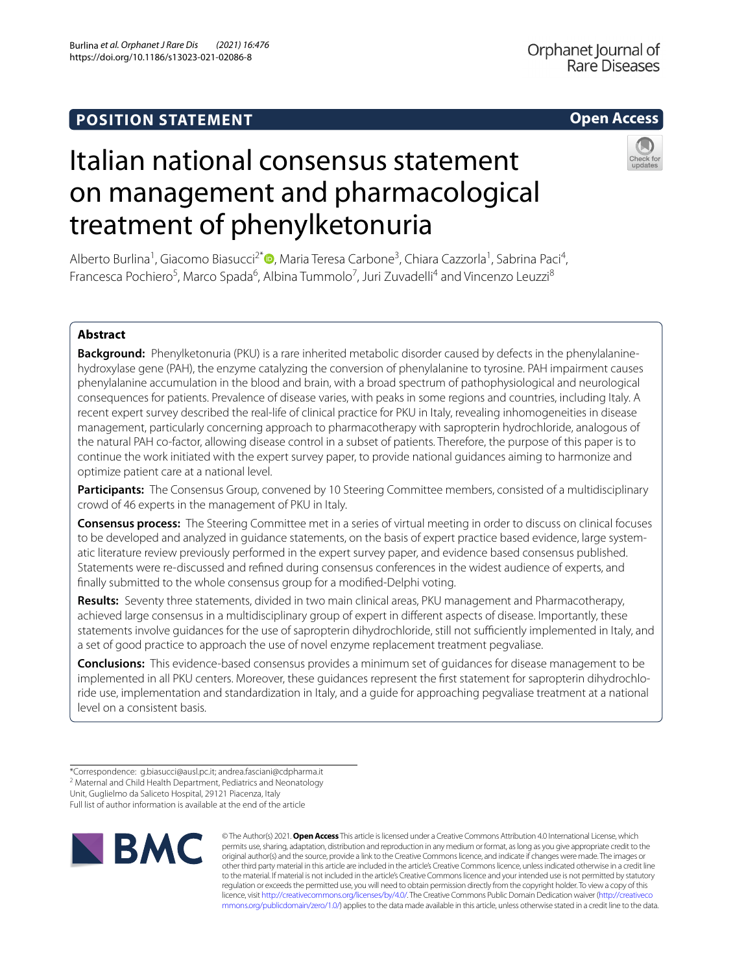## **Open Access**

Orphanet Journal of Rare Diseases

# Italian national consensus statement on management and pharmacological treatment of phenylketonuria

Alberto Burlina<sup>1</sup>[,](http://orcid.org/0000-0002-7441-9248) Giacomo Biasucci<sup>2\*</sup>®, Maria Teresa Carbone<sup>3</sup>, Chiara Cazzorla<sup>1</sup>, Sabrina Paci<sup>4</sup>, Francesca Pochiero<sup>5</sup>, Marco Spada<sup>6</sup>, Albina Tummolo<sup>7</sup>, Juri Zuvadelli<sup>4</sup> and Vincenzo Leuzzi<sup>8</sup>

### **Abstract**

**Background:** Phenylketonuria (PKU) is a rare inherited metabolic disorder caused by defects in the phenylalaninehydroxylase gene (PAH), the enzyme catalyzing the conversion of phenylalanine to tyrosine. PAH impairment causes phenylalanine accumulation in the blood and brain, with a broad spectrum of pathophysiological and neurological consequences for patients. Prevalence of disease varies, with peaks in some regions and countries, including Italy. A recent expert survey described the real-life of clinical practice for PKU in Italy, revealing inhomogeneities in disease management, particularly concerning approach to pharmacotherapy with sapropterin hydrochloride, analogous of the natural PAH co-factor, allowing disease control in a subset of patients. Therefore, the purpose of this paper is to continue the work initiated with the expert survey paper, to provide national guidances aiming to harmonize and optimize patient care at a national level.

Participants: The Consensus Group, convened by 10 Steering Committee members, consisted of a multidisciplinary crowd of 46 experts in the management of PKU in Italy.

**Consensus process:** The Steering Committee met in a series of virtual meeting in order to discuss on clinical focuses to be developed and analyzed in guidance statements, on the basis of expert practice based evidence, large systematic literature review previously performed in the expert survey paper, and evidence based consensus published. Statements were re-discussed and refned during consensus conferences in the widest audience of experts, and fnally submitted to the whole consensus group for a modifed-Delphi voting.

**Results:** Seventy three statements, divided in two main clinical areas, PKU management and Pharmacotherapy, achieved large consensus in a multidisciplinary group of expert in diferent aspects of disease. Importantly, these statements involve guidances for the use of sapropterin dihydrochloride, still not sufficiently implemented in Italy, and a set of good practice to approach the use of novel enzyme replacement treatment pegvaliase.

**Conclusions:** This evidence-based consensus provides a minimum set of guidances for disease management to be implemented in all PKU centers. Moreover, these guidances represent the frst statement for sapropterin dihydrochloride use, implementation and standardization in Italy, and a guide for approaching pegvaliase treatment at a national level on a consistent basis.

Full list of author information is available at the end of the article



© The Author(s) 2021. **Open Access** This article is licensed under a Creative Commons Attribution 4.0 International License, which permits use, sharing, adaptation, distribution and reproduction in any medium or format, as long as you give appropriate credit to the original author(s) and the source, provide a link to the Creative Commons licence, and indicate if changes were made. The images or other third party material in this article are included in the article's Creative Commons licence, unless indicated otherwise in a credit line to the material. If material is not included in the article's Creative Commons licence and your intended use is not permitted by statutory regulation or exceeds the permitted use, you will need to obtain permission directly from the copyright holder. To view a copy of this licence, visit [http://creativecommons.org/licenses/by/4.0/.](http://creativecommons.org/licenses/by/4.0/) The Creative Commons Public Domain Dedication waiver ([http://creativeco](http://creativecommons.org/publicdomain/zero/1.0/) [mmons.org/publicdomain/zero/1.0/](http://creativecommons.org/publicdomain/zero/1.0/)) applies to the data made available in this article, unless otherwise stated in a credit line to the data.

<sup>\*</sup>Correspondence: g.biasucci@ausl.pc.it; andrea.fasciani@cdpharma.it

<sup>&</sup>lt;sup>2</sup> Maternal and Child Health Department, Pediatrics and Neonatology Unit, Guglielmo da Saliceto Hospital, 29121 Piacenza, Italy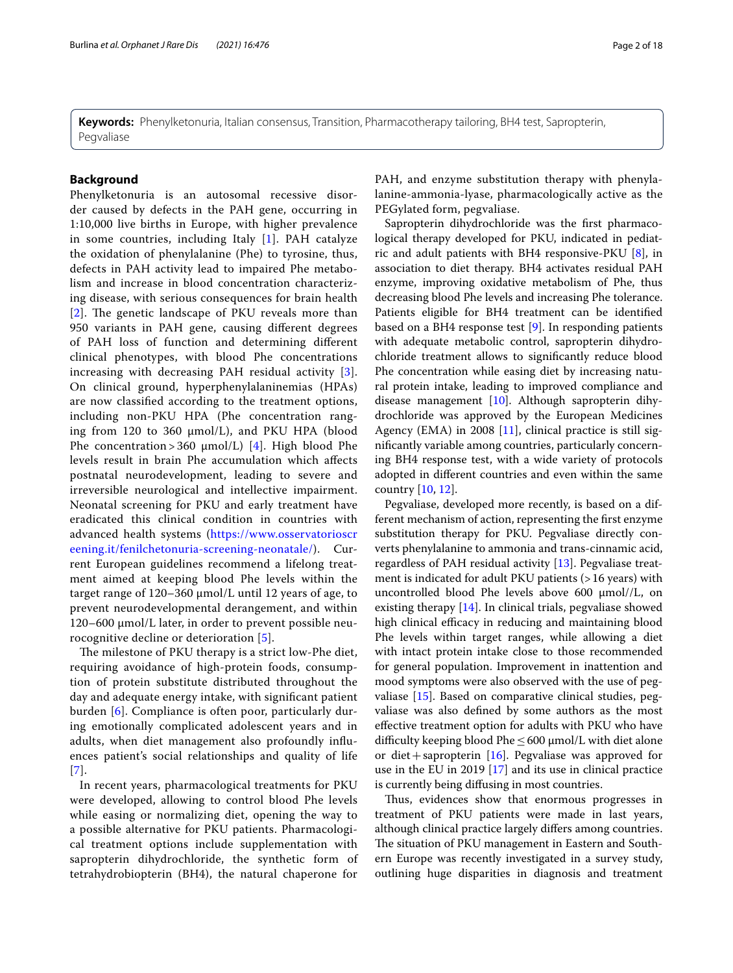**Keywords:** Phenylketonuria, Italian consensus, Transition, Pharmacotherapy tailoring, BH4 test, Sapropterin, Pegvaliase

### **Background**

Phenylketonuria is an autosomal recessive disorder caused by defects in the PAH gene, occurring in 1:10,000 live births in Europe, with higher prevalence in some countries, including Italy [[1](#page-15-0)]. PAH catalyze the oxidation of phenylalanine (Phe) to tyrosine, thus, defects in PAH activity lead to impaired Phe metabolism and increase in blood concentration characterizing disease, with serious consequences for brain health [[2](#page-15-1)]. The genetic landscape of PKU reveals more than 950 variants in PAH gene, causing diferent degrees of PAH loss of function and determining diferent clinical phenotypes, with blood Phe concentrations increasing with decreasing PAH residual activity [[3\]](#page-15-2). On clinical ground, hyperphenylalaninemias (HPAs) are now classifed according to the treatment options, including non-PKU HPA (Phe concentration ranging from 120 to 360  $\mu$ mol/L), and PKU HPA (blood Phe concentration > 360  $\mu$ mol/L) [[4\]](#page-15-3). High blood Phe levels result in brain Phe accumulation which afects postnatal neurodevelopment, leading to severe and irreversible neurological and intellective impairment. Neonatal screening for PKU and early treatment have eradicated this clinical condition in countries with advanced health systems ([https://www.osservatorioscr](https://www.osservatorioscreening.it/fenilchetonuria-screening-neonatale/) [eening.it/fenilchetonuria-screening-neonatale/\)](https://www.osservatorioscreening.it/fenilchetonuria-screening-neonatale/). Current European guidelines recommend a lifelong treatment aimed at keeping blood Phe levels within the target range of 120–360 μmol/L until 12 years of age, to prevent neurodevelopmental derangement, and within 120–600 μmol/L later, in order to prevent possible neurocognitive decline or deterioration [[5\]](#page-15-4).

The milestone of PKU therapy is a strict low-Phe diet, requiring avoidance of high-protein foods, consumption of protein substitute distributed throughout the day and adequate energy intake, with signifcant patient burden [\[6](#page-15-5)]. Compliance is often poor, particularly during emotionally complicated adolescent years and in adults, when diet management also profoundly infuences patient's social relationships and quality of life [[7](#page-15-6)].

In recent years, pharmacological treatments for PKU were developed, allowing to control blood Phe levels while easing or normalizing diet, opening the way to a possible alternative for PKU patients. Pharmacological treatment options include supplementation with sapropterin dihydrochloride, the synthetic form of tetrahydrobiopterin (BH4), the natural chaperone for PAH, and enzyme substitution therapy with phenylalanine-ammonia-lyase, pharmacologically active as the PEGylated form, pegvaliase.

Sapropterin dihydrochloride was the frst pharmacological therapy developed for PKU, indicated in pediatric and adult patients with BH4 responsive-PKU [\[8](#page-15-7)], in association to diet therapy. BH4 activates residual PAH enzyme, improving oxidative metabolism of Phe, thus decreasing blood Phe levels and increasing Phe tolerance. Patients eligible for BH4 treatment can be identifed based on a BH4 response test [[9](#page-15-8)]. In responding patients with adequate metabolic control, sapropterin dihydrochloride treatment allows to signifcantly reduce blood Phe concentration while easing diet by increasing natural protein intake, leading to improved compliance and disease management  $[10]$  $[10]$  $[10]$ . Although sapropterin dihydrochloride was approved by the European Medicines Agency (EMA) in 2008  $[11]$  $[11]$  $[11]$ , clinical practice is still signifcantly variable among countries, particularly concerning BH4 response test, with a wide variety of protocols adopted in diferent countries and even within the same country [\[10](#page-15-9), [12](#page-15-11)].

Pegvaliase, developed more recently, is based on a different mechanism of action, representing the frst enzyme substitution therapy for PKU. Pegvaliase directly converts phenylalanine to ammonia and trans-cinnamic acid, regardless of PAH residual activity [\[13](#page-16-0)]. Pegvaliase treatment is indicated for adult PKU patients (>16 years) with uncontrolled blood Phe levels above 600 μmol//L, on existing therapy [[14\]](#page-16-1). In clinical trials, pegvaliase showed high clinical efficacy in reducing and maintaining blood Phe levels within target ranges, while allowing a diet with intact protein intake close to those recommended for general population. Improvement in inattention and mood symptoms were also observed with the use of pegvaliase [[15](#page-16-2)]. Based on comparative clinical studies, pegvaliase was also defned by some authors as the most efective treatment option for adults with PKU who have difficulty keeping blood Phe  $\leq$  600 µmol/L with diet alone or diet + sapropterin  $[16]$  $[16]$ . Pegvaliase was approved for use in the EU in 2019 [\[17\]](#page-16-4) and its use in clinical practice is currently being difusing in most countries.

Thus, evidences show that enormous progresses in treatment of PKU patients were made in last years, although clinical practice largely difers among countries. The situation of PKU management in Eastern and Southern Europe was recently investigated in a survey study, outlining huge disparities in diagnosis and treatment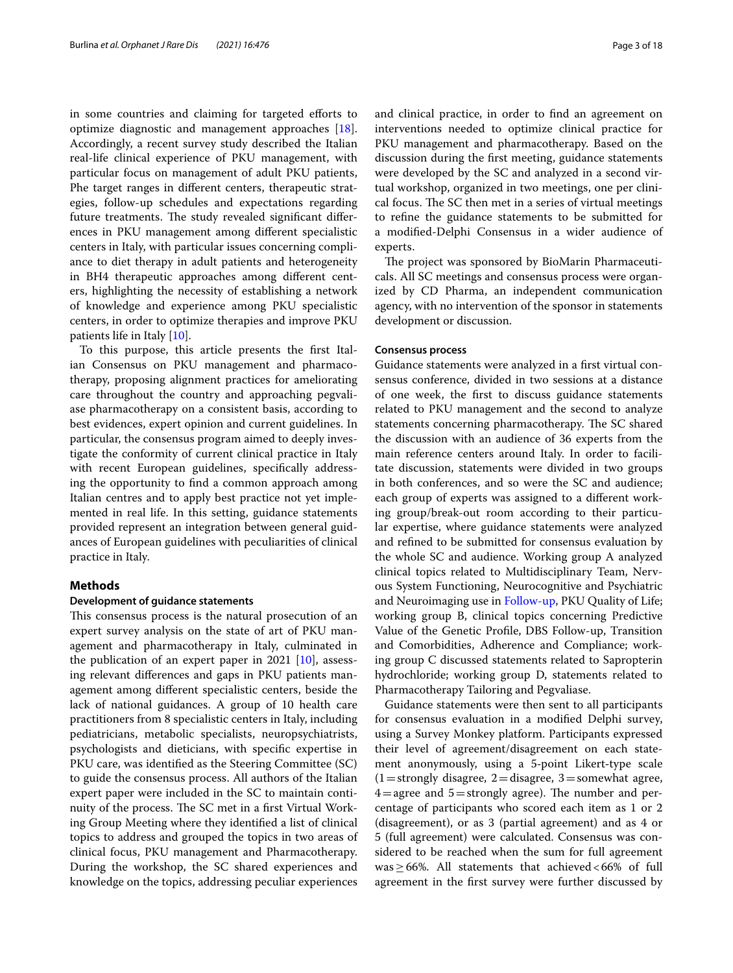in some countries and claiming for targeted efforts to optimize diagnostic and management approaches [\[18](#page-16-5)]. Accordingly, a recent survey study described the Italian real-life clinical experience of PKU management, with particular focus on management of adult PKU patients, Phe target ranges in diferent centers, therapeutic strategies, follow-up schedules and expectations regarding future treatments. The study revealed significant differences in PKU management among diferent specialistic centers in Italy, with particular issues concerning compliance to diet therapy in adult patients and heterogeneity in BH4 therapeutic approaches among diferent centers, highlighting the necessity of establishing a network of knowledge and experience among PKU specialistic centers, in order to optimize therapies and improve PKU patients life in Italy [\[10](#page-15-9)].

To this purpose, this article presents the frst Italian Consensus on PKU management and pharmacotherapy, proposing alignment practices for ameliorating care throughout the country and approaching pegvaliase pharmacotherapy on a consistent basis, according to best evidences, expert opinion and current guidelines. In particular, the consensus program aimed to deeply investigate the conformity of current clinical practice in Italy with recent European guidelines, specifcally addressing the opportunity to fnd a common approach among Italian centres and to apply best practice not yet implemented in real life. In this setting, guidance statements provided represent an integration between general guidances of European guidelines with peculiarities of clinical practice in Italy.

### **Methods**

### **Development of guidance statements**

This consensus process is the natural prosecution of an expert survey analysis on the state of art of PKU management and pharmacotherapy in Italy, culminated in the publication of an expert paper in 2021 [[10](#page-15-9)], assessing relevant diferences and gaps in PKU patients management among diferent specialistic centers, beside the lack of national guidances. A group of 10 health care practitioners from 8 specialistic centers in Italy, including pediatricians, metabolic specialists, neuropsychiatrists, psychologists and dieticians, with specifc expertise in PKU care, was identifed as the Steering Committee (SC) to guide the consensus process. All authors of the Italian expert paper were included in the SC to maintain continuity of the process. The SC met in a first Virtual Working Group Meeting where they identifed a list of clinical topics to address and grouped the topics in two areas of clinical focus, PKU management and Pharmacotherapy. During the workshop, the SC shared experiences and knowledge on the topics, addressing peculiar experiences and clinical practice, in order to fnd an agreement on interventions needed to optimize clinical practice for PKU management and pharmacotherapy. Based on the discussion during the frst meeting, guidance statements were developed by the SC and analyzed in a second virtual workshop, organized in two meetings, one per clinical focus. The SC then met in a series of virtual meetings to refne the guidance statements to be submitted for a modifed-Delphi Consensus in a wider audience of experts.

The project was sponsored by BioMarin Pharmaceuticals. All SC meetings and consensus process were organized by CD Pharma, an independent communication agency, with no intervention of the sponsor in statements development or discussion.

### **Consensus process**

Guidance statements were analyzed in a frst virtual consensus conference, divided in two sessions at a distance of one week, the frst to discuss guidance statements related to PKU management and the second to analyze statements concerning pharmacotherapy. The SC shared the discussion with an audience of 36 experts from the main reference centers around Italy. In order to facilitate discussion, statements were divided in two groups in both conferences, and so were the SC and audience; each group of experts was assigned to a diferent working group/break-out room according to their particular expertise, where guidance statements were analyzed and refned to be submitted for consensus evaluation by the whole SC and audience. Working group A analyzed clinical topics related to Multidisciplinary Team, Nervous System Functioning, Neurocognitive and Psychiatric and Neuroimaging use in [Follow-up](#page-3-0), PKU Quality of Life; working group B, clinical topics concerning Predictive Value of the Genetic Profle, DBS Follow-up, Transition and Comorbidities, Adherence and Compliance; working group C discussed statements related to Sapropterin hydrochloride; working group D, statements related to Pharmacotherapy Tailoring and Pegvaliase.

Guidance statements were then sent to all participants for consensus evaluation in a modifed Delphi survey, using a Survey Monkey platform. Participants expressed their level of agreement/disagreement on each statement anonymously, using a 5‐point Likert‐type scale  $(1=$ strongly disagree,  $2=$ disagree,  $3=$ somewhat agree,  $4$  = agree and  $5$  = strongly agree). The number and percentage of participants who scored each item as 1 or 2 (disagreement), or as 3 (partial agreement) and as 4 or 5 (full agreement) were calculated. Consensus was considered to be reached when the sum for full agreement was  $\geq$  66%. All statements that achieved <66% of full agreement in the frst survey were further discussed by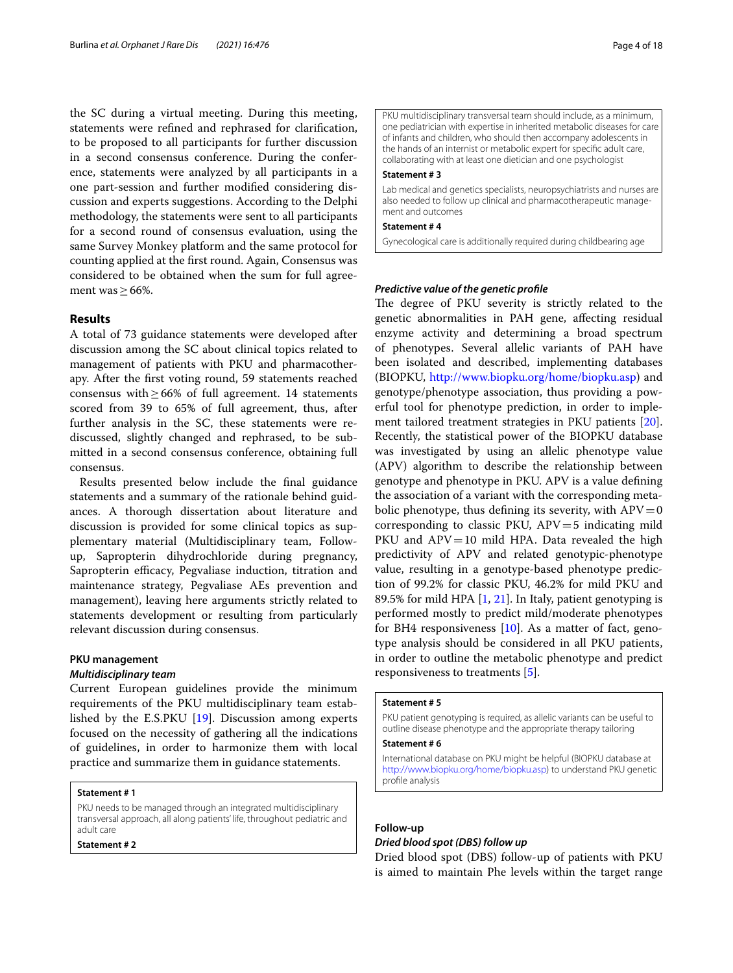the SC during a virtual meeting. During this meeting, statements were refned and rephrased for clarifcation, to be proposed to all participants for further discussion in a second consensus conference. During the conference, statements were analyzed by all participants in a one part-session and further modifed considering discussion and experts suggestions. According to the Delphi methodology, the statements were sent to all participants for a second round of consensus evaluation, using the same Survey Monkey platform and the same protocol for counting applied at the frst round. Again, Consensus was considered to be obtained when the sum for full agreement was  $\geq$  66%.

### **Results**

A total of 73 guidance statements were developed after discussion among the SC about clinical topics related to management of patients with PKU and pharmacotherapy. After the frst voting round, 59 statements reached consensus with  $\geq 66\%$  of full agreement. 14 statements scored from 39 to 65% of full agreement, thus, after further analysis in the SC, these statements were rediscussed, slightly changed and rephrased, to be submitted in a second consensus conference, obtaining full consensus.

Results presented below include the fnal guidance statements and a summary of the rationale behind guidances. A thorough dissertation about literature and discussion is provided for some clinical topics as supplementary material (Multidisciplinary team, Followup, Sapropterin dihydrochloride during pregnancy, Sapropterin efficacy, Pegvaliase induction, titration and maintenance strategy, Pegvaliase AEs prevention and management), leaving here arguments strictly related to statements development or resulting from particularly relevant discussion during consensus.

### **PKU management**

### *Multidisciplinary team*

Current European guidelines provide the minimum requirements of the PKU multidisciplinary team established by the E.S.PKU [\[19](#page-16-6)]. Discussion among experts focused on the necessity of gathering all the indications of guidelines, in order to harmonize them with local practice and summarize them in guidance statements.

### **Statement # 1**

PKU needs to be managed through an integrated multidisciplinary transversal approach, all along patients' life, throughout pediatric and adult care

**Statement # 2**

PKU multidisciplinary transversal team should include, as a minimum, one pediatrician with expertise in inherited metabolic diseases for care of infants and children, who should then accompany adolescents in the hands of an internist or metabolic expert for specifc adult care, collaborating with at least one dietician and one psychologist

### **Statement # 3**

Lab medical and genetics specialists, neuropsychiatrists and nurses are also needed to follow up clinical and pharmacotherapeutic management and outcomes

### **Statement # 4**

Gynecological care is additionally required during childbearing age

### *Predictive value of the genetic profle*

The degree of PKU severity is strictly related to the genetic abnormalities in PAH gene, afecting residual enzyme activity and determining a broad spectrum of phenotypes. Several allelic variants of PAH have been isolated and described, implementing databases (BIOPKU, <http://www.biopku.org/home/biopku.asp>) and genotype/phenotype association, thus providing a powerful tool for phenotype prediction, in order to implement tailored treatment strategies in PKU patients [\[20](#page-16-7)]. Recently, the statistical power of the BIOPKU database was investigated by using an allelic phenotype value (APV) algorithm to describe the relationship between genotype and phenotype in PKU. APV is a value defning the association of a variant with the corresponding metabolic phenotype, thus defining its severity, with  $APV=0$ corresponding to classic PKU,  $APV = 5$  indicating mild PKU and  $APV=10$  mild HPA. Data revealed the high predictivity of APV and related genotypic-phenotype value, resulting in a genotype-based phenotype prediction of 99.2% for classic PKU, 46.2% for mild PKU and 89.5% for mild HPA  $[1, 21]$  $[1, 21]$  $[1, 21]$  $[1, 21]$  $[1, 21]$ . In Italy, patient genotyping is performed mostly to predict mild/moderate phenotypes for BH4 responsiveness [[10\]](#page-15-9). As a matter of fact, genotype analysis should be considered in all PKU patients, in order to outline the metabolic phenotype and predict responsiveness to treatments [[5](#page-15-4)].

### **Statement # 5**

PKU patient genotyping is required, as allelic variants can be useful to outline disease phenotype and the appropriate therapy tailoring

### **Statement # 6**

International database on PKU might be helpful (BIOPKU database at <http://www.biopku.org/home/biopku.asp>) to understand PKU genetic profle analysis

### **Follow‑up**

### <span id="page-3-0"></span>*Dried blood spot (DBS) follow up*

Dried blood spot (DBS) follow-up of patients with PKU is aimed to maintain Phe levels within the target range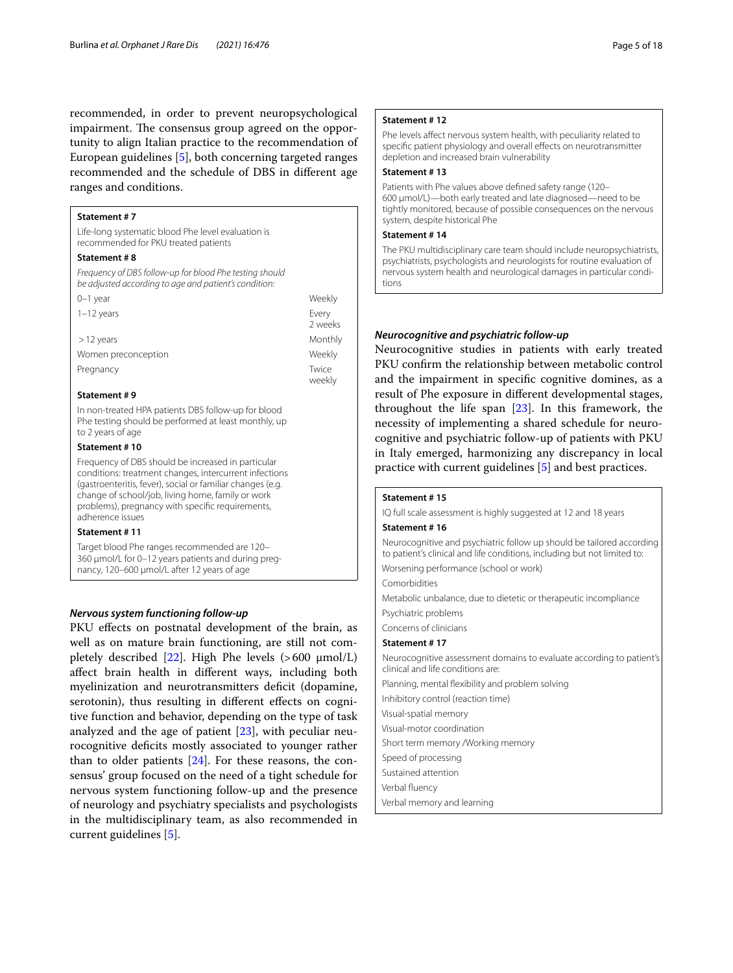recommended, in order to prevent neuropsychological impairment. The consensus group agreed on the opportunity to align Italian practice to the recommendation of European guidelines [\[5](#page-15-4)], both concerning targeted ranges recommended and the schedule of DBS in diferent age ranges and conditions.

### **Statement # 7**

Life-long systematic blood Phe level evaluation is recommended for PKU treated patients

#### **Statement # 8**

*Frequency of DBS follow-up for blood Phe testing should be adjusted according to age and patient's condition:*

| $0-1$ year          | Weekly          |
|---------------------|-----------------|
| $1-12$ years        | Every<br>2 week |
| $>$ 12 years        | Month           |
| Women preconception | Weekly          |
| Pregnancy           | Twice<br>weekly |
|                     |                 |

### **Statement # 9**

In non-treated HPA patients DBS follow-up for blood Phe testing should be performed at least monthly, up to 2 years of age

### **Statement # 10**

Frequency of DBS should be increased in particular conditions: treatment changes, intercurrent infections (gastroenteritis, fever), social or familiar changes (e.g. change of school/job, living home, family or work problems), pregnancy with specifc requirements, adherence issues

### **Statement # 11**

Target blood Phe ranges recommended are 120– 360 µmol/L for 0–12 years patients and during pregnancy, 120–600 µmol/L after 12 years of age

### *Nervous system functioning follow‑up*

PKU effects on postnatal development of the brain, as well as on mature brain functioning, are still not com-pletely described [[22\]](#page-16-9). High Phe levels  $(>600 \mu \text{mol/L})$ afect brain health in diferent ways, including both myelinization and neurotransmitters deficit (dopamine, serotonin), thus resulting in diferent efects on cognitive function and behavior, depending on the type of task analyzed and the age of patient [[23\]](#page-16-10), with peculiar neurocognitive defcits mostly associated to younger rather than to older patients [[24\]](#page-16-11). For these reasons, the consensus' group focused on the need of a tight schedule for nervous system functioning follow-up and the presence of neurology and psychiatry specialists and psychologists in the multidisciplinary team, as also recommended in current guidelines [\[5](#page-15-4)].

### **Statement # 12**

Phe levels affect nervous system health, with peculiarity related to specifc patient physiology and overall efects on neurotransmitter depletion and increased brain vulnerability

### **Statement # 13**

Patients with Phe values above defned safety range (120– 600 µmol/L)—both early treated and late diagnosed—need to be tightly monitored, because of possible consequences on the nervous system, despite historical Phe

### **Statement # 14**

2 weeks **Monthly**  The PKU multidisciplinary care team should include neuropsychiatrists, psychiatrists, psychologists and neurologists for routine evaluation of nervous system health and neurological damages in particular conditions

### *Neurocognitive and psychiatric follow‑up*

Neurocognitive studies in patients with early treated PKU confrm the relationship between metabolic control and the impairment in specifc cognitive domines, as a result of Phe exposure in diferent developmental stages, throughout the life span  $[23]$ . In this framework, the necessity of implementing a shared schedule for neurocognitive and psychiatric follow-up of patients with PKU in Italy emerged, harmonizing any discrepancy in local practice with current guidelines [[5\]](#page-15-4) and best practices.

### **Statement # 15**

IQ full scale assessment is highly suggested at 12 and 18 years

### **Statement # 16**

Neurocognitive and psychiatric follow up should be tailored according to patient's clinical and life conditions, including but not limited to: Worsening performance (school or work)

Comorbidities

Metabolic unbalance, due to dietetic or therapeutic incompliance

Psychiatric problems

Concerns of clinicians

### **Statement # 17**

Neurocognitive assessment domains to evaluate according to patient's clinical and life conditions are: Planning, mental fexibility and problem solving Inhibitory control (reaction time) Visual-spatial memory Visual-motor coordination Short term memory /Working memory Speed of processing Sustained attention Verbal fuency

Verbal memory and learning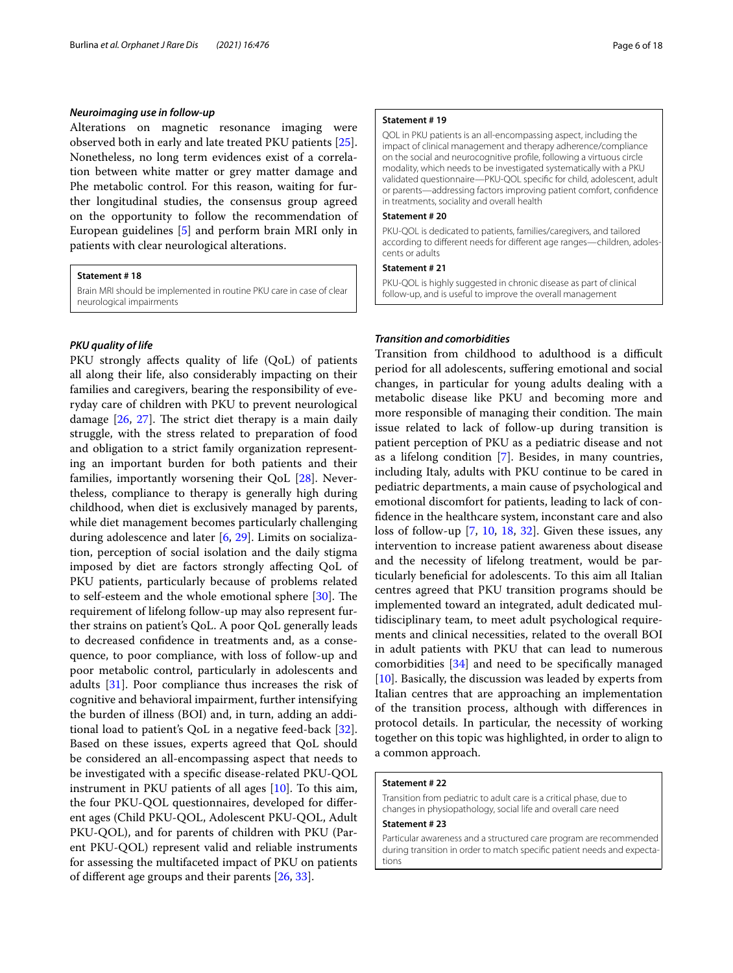### *Neuroimaging use in follow‑up*

Alterations on magnetic resonance imaging were observed both in early and late treated PKU patients [\[25](#page-16-12)]. Nonetheless, no long term evidences exist of a correlation between white matter or grey matter damage and Phe metabolic control. For this reason, waiting for further longitudinal studies, the consensus group agreed on the opportunity to follow the recommendation of European guidelines [\[5](#page-15-4)] and perform brain MRI only in patients with clear neurological alterations.

### **Statement # 18**

Brain MRI should be implemented in routine PKU care in case of clear neurological impairments

### *PKU quality of life*

PKU strongly affects quality of life (QoL) of patients all along their life, also considerably impacting on their families and caregivers, bearing the responsibility of everyday care of children with PKU to prevent neurological damage  $[26, 27]$  $[26, 27]$  $[26, 27]$ . The strict diet therapy is a main daily struggle, with the stress related to preparation of food and obligation to a strict family organization representing an important burden for both patients and their families, importantly worsening their QoL [\[28\]](#page-16-15). Nevertheless, compliance to therapy is generally high during childhood, when diet is exclusively managed by parents, while diet management becomes particularly challenging during adolescence and later [\[6](#page-15-5), [29](#page-16-16)]. Limits on socialization, perception of social isolation and the daily stigma imposed by diet are factors strongly afecting QoL of PKU patients, particularly because of problems related to self-esteem and the whole emotional sphere  $[30]$  $[30]$ . The requirement of lifelong follow-up may also represent further strains on patient's QoL. A poor QoL generally leads to decreased confdence in treatments and, as a consequence, to poor compliance, with loss of follow-up and poor metabolic control, particularly in adolescents and adults [[31\]](#page-16-18). Poor compliance thus increases the risk of cognitive and behavioral impairment, further intensifying the burden of illness (BOI) and, in turn, adding an additional load to patient's QoL in a negative feed-back [\[32](#page-16-19)]. Based on these issues, experts agreed that QoL should be considered an all-encompassing aspect that needs to be investigated with a specifc disease-related PKU-QOL instrument in PKU patients of all ages [[10](#page-15-9)]. To this aim, the four PKU-QOL questionnaires, developed for diferent ages (Child PKU-QOL, Adolescent PKU-QOL, Adult PKU-QOL), and for parents of children with PKU (Parent PKU-QOL) represent valid and reliable instruments for assessing the multifaceted impact of PKU on patients of diferent age groups and their parents [[26,](#page-16-13) [33\]](#page-16-20).

### **Statement # 19**

QOL in PKU patients is an all-encompassing aspect, including the impact of clinical management and therapy adherence/compliance on the social and neurocognitive profle, following a virtuous circle modality, which needs to be investigated systematically with a PKU validated questionnaire—PKU-QOL specifc for child, adolescent, adult or parents—addressing factors improving patient comfort, confdence in treatments, sociality and overall health

### **Statement # 20**

PKU-QOL is dedicated to patients, families/caregivers, and tailored according to diferent needs for diferent age ranges—children, adolescents or adults

### **Statement # 21**

PKU-QOL is highly suggested in chronic disease as part of clinical follow-up, and is useful to improve the overall management

### *Transition and comorbidities*

Transition from childhood to adulthood is a difficult period for all adolescents, sufering emotional and social changes, in particular for young adults dealing with a metabolic disease like PKU and becoming more and more responsible of managing their condition. The main issue related to lack of follow-up during transition is patient perception of PKU as a pediatric disease and not as a lifelong condition [\[7](#page-15-6)]. Besides, in many countries, including Italy, adults with PKU continue to be cared in pediatric departments, a main cause of psychological and emotional discomfort for patients, leading to lack of confdence in the healthcare system, inconstant care and also loss of follow-up [\[7](#page-15-6), [10,](#page-15-9) [18](#page-16-5), [32\]](#page-16-19). Given these issues, any intervention to increase patient awareness about disease and the necessity of lifelong treatment, would be particularly benefcial for adolescents. To this aim all Italian centres agreed that PKU transition programs should be implemented toward an integrated, adult dedicated multidisciplinary team, to meet adult psychological requirements and clinical necessities, related to the overall BOI in adult patients with PKU that can lead to numerous comorbidities [\[34\]](#page-16-21) and need to be specifcally managed [[10\]](#page-15-9). Basically, the discussion was leaded by experts from Italian centres that are approaching an implementation of the transition process, although with diferences in protocol details. In particular, the necessity of working together on this topic was highlighted, in order to align to a common approach.

### **Statement # 22**

Transition from pediatric to adult care is a critical phase, due to changes in physiopathology, social life and overall care need

### **Statement # 23**

Particular awareness and a structured care program are recommended during transition in order to match specifc patient needs and expectations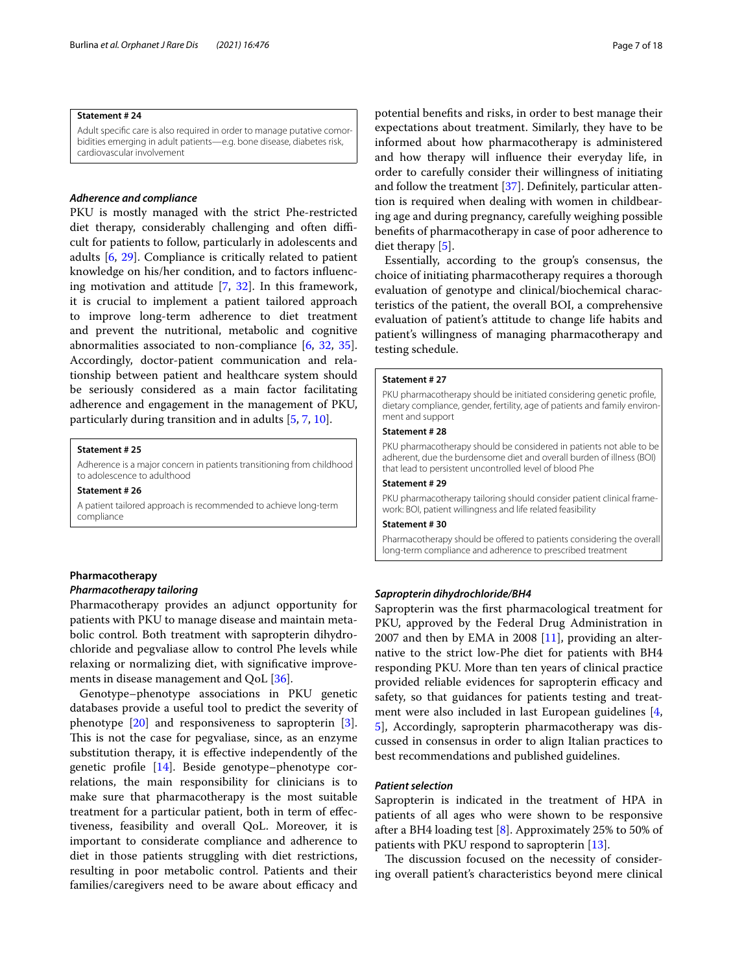### **Statement # 24**

Adult specific care is also required in order to manage putative comorbidities emerging in adult patients—e.g. bone disease, diabetes risk, cardiovascular involvement

### *Adherence and compliance*

PKU is mostly managed with the strict Phe-restricted diet therapy, considerably challenging and often difficult for patients to follow, particularly in adolescents and adults [\[6](#page-15-5), [29](#page-16-16)]. Compliance is critically related to patient knowledge on his/her condition, and to factors infuencing motivation and attitude [[7,](#page-15-6) [32\]](#page-16-19). In this framework, it is crucial to implement a patient tailored approach to improve long-term adherence to diet treatment and prevent the nutritional, metabolic and cognitive abnormalities associated to non-compliance [\[6](#page-15-5), [32](#page-16-19), [35](#page-16-22)]. Accordingly, doctor-patient communication and relationship between patient and healthcare system should be seriously considered as a main factor facilitating adherence and engagement in the management of PKU, particularly during transition and in adults [\[5,](#page-15-4) [7](#page-15-6), [10\]](#page-15-9).

### **Statement # 25**

Adherence is a major concern in patients transitioning from childhood to adolescence to adulthood

#### **Statement # 26**

A patient tailored approach is recommended to achieve long-term compliance

### **Pharmacotherapy**

### *Pharmacotherapy tailoring*

Pharmacotherapy provides an adjunct opportunity for patients with PKU to manage disease and maintain metabolic control. Both treatment with sapropterin dihydrochloride and pegvaliase allow to control Phe levels while relaxing or normalizing diet, with signifcative improvements in disease management and QoL [[36\]](#page-16-23).

Genotype–phenotype associations in PKU genetic databases provide a useful tool to predict the severity of phenotype  $[20]$  $[20]$  and responsiveness to sapropterin  $[3]$  $[3]$ . This is not the case for pegvaliase, since, as an enzyme substitution therapy, it is efective independently of the genetic profle [\[14](#page-16-1)]. Beside genotype–phenotype correlations, the main responsibility for clinicians is to make sure that pharmacotherapy is the most suitable treatment for a particular patient, both in term of efectiveness, feasibility and overall QoL. Moreover, it is important to considerate compliance and adherence to diet in those patients struggling with diet restrictions, resulting in poor metabolic control. Patients and their families/caregivers need to be aware about efficacy and

potential benefts and risks, in order to best manage their expectations about treatment. Similarly, they have to be informed about how pharmacotherapy is administered and how therapy will infuence their everyday life, in order to carefully consider their willingness of initiating and follow the treatment [[37](#page-16-24)]. Defnitely, particular attention is required when dealing with women in childbearing age and during pregnancy, carefully weighing possible benefts of pharmacotherapy in case of poor adherence to diet therapy [\[5](#page-15-4)].

Essentially, according to the group's consensus, the choice of initiating pharmacotherapy requires a thorough evaluation of genotype and clinical/biochemical characteristics of the patient, the overall BOI, a comprehensive evaluation of patient's attitude to change life habits and patient's willingness of managing pharmacotherapy and testing schedule.

### **Statement # 27**

PKU pharmacotherapy should be initiated considering genetic profile, dietary compliance, gender, fertility, age of patients and family environment and support

### **Statement # 28**

PKU pharmacotherapy should be considered in patients not able to be adherent, due the burdensome diet and overall burden of illness (BOI) that lead to persistent uncontrolled level of blood Phe

### **Statement # 29**

PKU pharmacotherapy tailoring should consider patient clinical framework: BOI, patient willingness and life related feasibility

#### **Statement # 30**

Pharmacotherapy should be offered to patients considering the overall long-term compliance and adherence to prescribed treatment

### *Sapropterin dihydrochloride/BH4*

Sapropterin was the frst pharmacological treatment for PKU, approved by the Federal Drug Administration in 2007 and then by EMA in 2008  $[11]$  $[11]$ , providing an alternative to the strict low-Phe diet for patients with BH4 responding PKU. More than ten years of clinical practice provided reliable evidences for sapropterin efficacy and safety, so that guidances for patients testing and treatment were also included in last European guidelines [\[4](#page-15-3), [5\]](#page-15-4), Accordingly, sapropterin pharmacotherapy was discussed in consensus in order to align Italian practices to best recommendations and published guidelines.

### *Patient selection*

Sapropterin is indicated in the treatment of HPA in patients of all ages who were shown to be responsive after a BH4 loading test  $[8]$  $[8]$ . Approximately 25% to 50% of patients with PKU respond to sapropterin [[13\]](#page-16-0).

The discussion focused on the necessity of considering overall patient's characteristics beyond mere clinical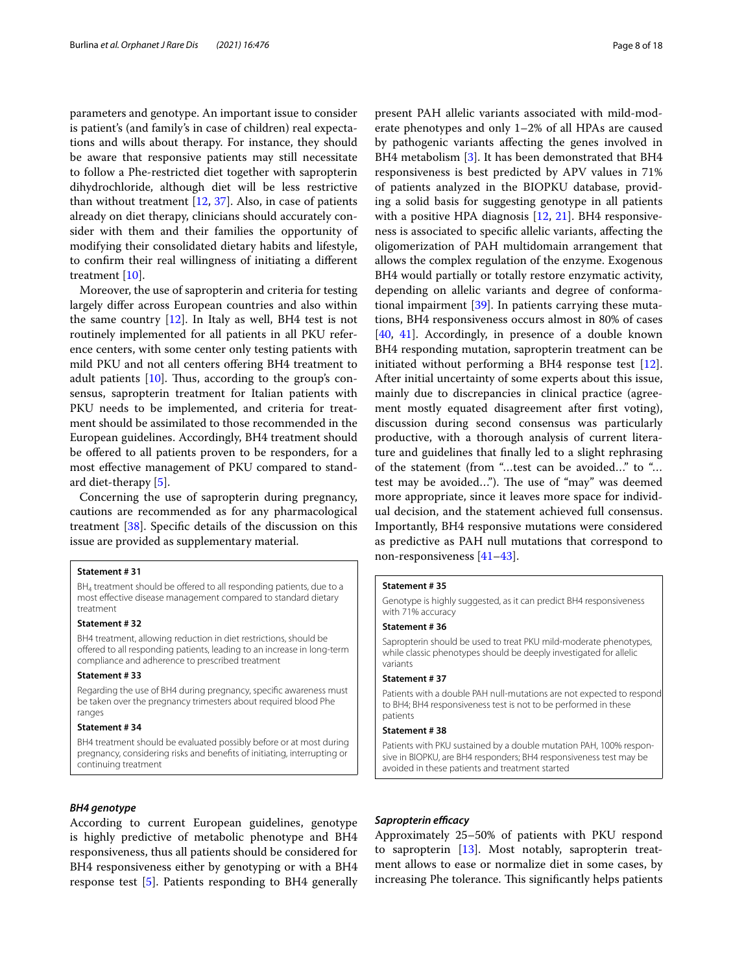parameters and genotype. An important issue to consider is patient's (and family's in case of children) real expectations and wills about therapy. For instance, they should be aware that responsive patients may still necessitate to follow a Phe-restricted diet together with sapropterin dihydrochloride, although diet will be less restrictive than without treatment [\[12](#page-15-11), [37](#page-16-24)]. Also, in case of patients already on diet therapy, clinicians should accurately consider with them and their families the opportunity of modifying their consolidated dietary habits and lifestyle, to confrm their real willingness of initiating a diferent treatment [[10](#page-15-9)].

Moreover, the use of sapropterin and criteria for testing largely difer across European countries and also within the same country  $[12]$  $[12]$ . In Italy as well, BH4 test is not routinely implemented for all patients in all PKU reference centers, with some center only testing patients with mild PKU and not all centers ofering BH4 treatment to adult patients  $[10]$  $[10]$ . Thus, according to the group's consensus, sapropterin treatment for Italian patients with PKU needs to be implemented, and criteria for treatment should be assimilated to those recommended in the European guidelines. Accordingly, BH4 treatment should be offered to all patients proven to be responders, for a most efective management of PKU compared to standard diet-therapy [[5\]](#page-15-4).

Concerning the use of sapropterin during pregnancy, cautions are recommended as for any pharmacological treatment [[38\]](#page-16-25). Specifc details of the discussion on this issue are provided as supplementary material.

#### **Statement # 31**

BH<sub>4</sub> treatment should be offered to all responding patients, due to a most efective disease management compared to standard dietary treatment

#### **Statement # 32**

BH4 treatment, allowing reduction in diet restrictions, should be offered to all responding patients, leading to an increase in long-term compliance and adherence to prescribed treatment

### **Statement # 33**

Regarding the use of BH4 during pregnancy, specifc awareness must be taken over the pregnancy trimesters about required blood Phe ranges

#### **Statement # 34**

BH4 treatment should be evaluated possibly before or at most during pregnancy, considering risks and benefts of initiating, interrupting or continuing treatment

### *BH4 genotype*

According to current European guidelines, genotype is highly predictive of metabolic phenotype and BH4 responsiveness, thus all patients should be considered for BH4 responsiveness either by genotyping or with a BH4 response test [[5\]](#page-15-4). Patients responding to BH4 generally

present PAH allelic variants associated with mild-moderate phenotypes and only 1–2% of all HPAs are caused by pathogenic variants afecting the genes involved in BH4 metabolism [\[3\]](#page-15-2). It has been demonstrated that BH4 responsiveness is best predicted by APV values in 71% of patients analyzed in the BIOPKU database, providing a solid basis for suggesting genotype in all patients with a positive HPA diagnosis  $[12, 21]$  $[12, 21]$  $[12, 21]$  $[12, 21]$ . BH4 responsiveness is associated to specifc allelic variants, afecting the oligomerization of PAH multidomain arrangement that allows the complex regulation of the enzyme. Exogenous BH4 would partially or totally restore enzymatic activity, depending on allelic variants and degree of conformational impairment [[39\]](#page-16-26). In patients carrying these mutations, BH4 responsiveness occurs almost in 80% of cases [[40,](#page-16-27) [41\]](#page-16-28). Accordingly, in presence of a double known BH4 responding mutation, sapropterin treatment can be initiated without performing a BH4 response test [\[12](#page-15-11)]. After initial uncertainty of some experts about this issue, mainly due to discrepancies in clinical practice (agreement mostly equated disagreement after frst voting), discussion during second consensus was particularly productive, with a thorough analysis of current literature and guidelines that fnally led to a slight rephrasing of the statement (from "…test can be avoided…" to "… test may be avoided..."). The use of "may" was deemed more appropriate, since it leaves more space for individual decision, and the statement achieved full consensus. Importantly, BH4 responsive mutations were considered as predictive as PAH null mutations that correspond to non-responsiveness [[41–](#page-16-28)[43\]](#page-16-29).

#### **Statement # 35**

Genotype is highly suggested, as it can predict BH4 responsiveness with 71% accuracy

### **Statement # 36**

Sapropterin should be used to treat PKU mild-moderate phenotypes, while classic phenotypes should be deeply investigated for allelic variants

#### **Statement # 37**

Patients with a double PAH null-mutations are not expected to respond to BH4; BH4 responsiveness test is not to be performed in these patients

#### **Statement # 38**

Patients with PKU sustained by a double mutation PAH, 100% responsive in BIOPKU, are BH4 responders; BH4 responsiveness test may be avoided in these patients and treatment started

#### **Sapropterin efficacy**

Approximately 25–50% of patients with PKU respond to sapropterin [[13](#page-16-0)]. Most notably, sapropterin treatment allows to ease or normalize diet in some cases, by increasing Phe tolerance. This significantly helps patients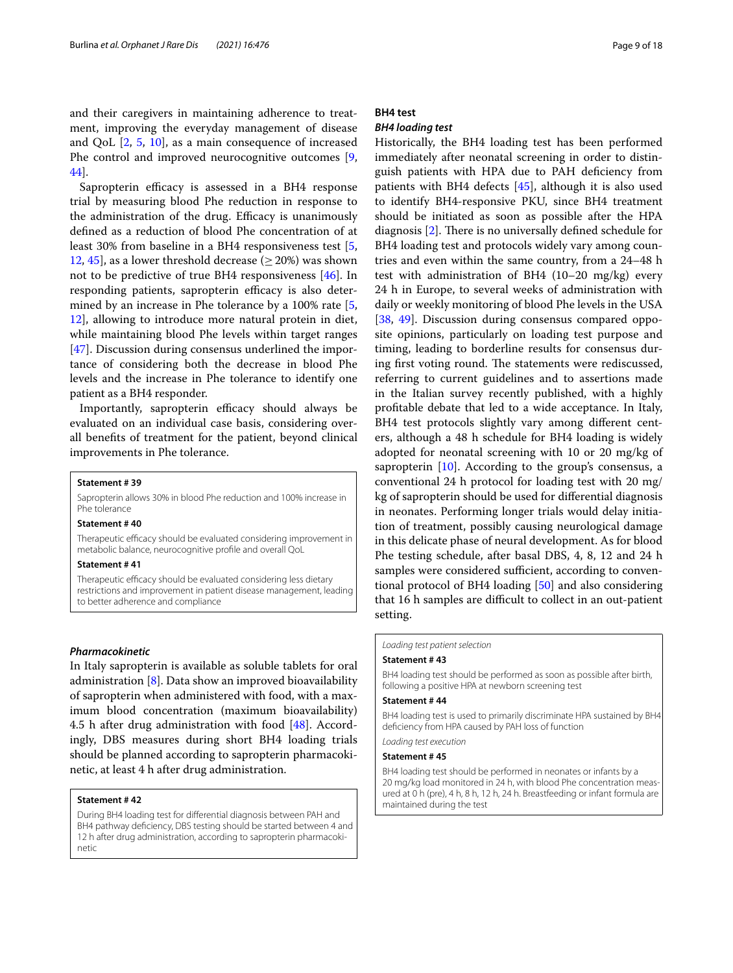and their caregivers in maintaining adherence to treatment, improving the everyday management of disease and QoL [\[2](#page-15-1), [5,](#page-15-4) [10](#page-15-9)], as a main consequence of increased Phe control and improved neurocognitive outcomes [\[9](#page-15-8), [44\]](#page-16-30).

Sapropterin efficacy is assessed in a BH4 response trial by measuring blood Phe reduction in response to the administration of the drug. Efficacy is unanimously defned as a reduction of blood Phe concentration of at least 30% from baseline in a BH4 responsiveness test [\[5](#page-15-4), [12,](#page-15-11) [45](#page-16-31)], as a lower threshold decrease ( $\geq$  20%) was shown not to be predictive of true BH4 responsiveness [\[46](#page-16-32)]. In responding patients, sapropterin efficacy is also determined by an increase in Phe tolerance by a 100% rate [\[5](#page-15-4), [12\]](#page-15-11), allowing to introduce more natural protein in diet, while maintaining blood Phe levels within target ranges [[47\]](#page-16-33). Discussion during consensus underlined the importance of considering both the decrease in blood Phe levels and the increase in Phe tolerance to identify one patient as a BH4 responder.

Importantly, sapropterin efficacy should always be evaluated on an individual case basis, considering overall benefts of treatment for the patient, beyond clinical improvements in Phe tolerance.

### **Statement # 39**

Sapropterin allows 30% in blood Phe reduction and 100% increase in Phe tolerance

### **Statement # 40**

Therapeutic efficacy should be evaluated considering improvement in metabolic balance, neurocognitive profle and overall QoL

### **Statement # 41**

Therapeutic efficacy should be evaluated considering less dietary restrictions and improvement in patient disease management, leading to better adherence and compliance

### *Pharmacokinetic*

In Italy sapropterin is available as soluble tablets for oral administration [\[8](#page-15-7)]. Data show an improved bioavailability of sapropterin when administered with food, with a maximum blood concentration (maximum bioavailability) 4.5 h after drug administration with food  $[48]$  $[48]$ . Accordingly, DBS measures during short BH4 loading trials should be planned according to sapropterin pharmacokinetic, at least 4 h after drug administration.

### **Statement # 42**

During BH4 loading test for diferential diagnosis between PAH and BH4 pathway deficiency, DBS testing should be started between 4 and 12 h after drug administration, according to sapropterin pharmacokinetic

### **BH4 test**

### *BH4 loading test*

Historically, the BH4 loading test has been performed immediately after neonatal screening in order to distinguish patients with HPA due to PAH defciency from patients with BH4 defects [[45\]](#page-16-31), although it is also used to identify BH4-responsive PKU, since BH4 treatment should be initiated as soon as possible after the HPA diagnosis  $[2]$  $[2]$  $[2]$ . There is no universally defined schedule for BH4 loading test and protocols widely vary among countries and even within the same country, from a 24–48 h test with administration of BH4 (10–20 mg/kg) every 24 h in Europe, to several weeks of administration with daily or weekly monitoring of blood Phe levels in the USA [[38,](#page-16-25) [49\]](#page-16-35). Discussion during consensus compared opposite opinions, particularly on loading test purpose and timing, leading to borderline results for consensus during first voting round. The statements were rediscussed, referring to current guidelines and to assertions made in the Italian survey recently published, with a highly proftable debate that led to a wide acceptance. In Italy, BH4 test protocols slightly vary among diferent centers, although a 48 h schedule for BH4 loading is widely adopted for neonatal screening with 10 or 20 mg/kg of sapropterin  $[10]$  $[10]$ . According to the group's consensus, a conventional 24 h protocol for loading test with 20 mg/ kg of sapropterin should be used for diferential diagnosis in neonates. Performing longer trials would delay initiation of treatment, possibly causing neurological damage in this delicate phase of neural development. As for blood Phe testing schedule, after basal DBS, 4, 8, 12 and 24 h samples were considered sufficient, according to conventional protocol of BH4 loading [[50](#page-16-36)] and also considering that 16 h samples are difficult to collect in an out-patient setting.

### *Loading test patient selection*

### **Statement # 43**

BH4 loading test should be performed as soon as possible after birth, following a positive HPA at newborn screening test

### **Statement # 44**

BH4 loading test is used to primarily discriminate HPA sustained by BH4 defciency from HPA caused by PAH loss of function

*Loading test execution*

#### **Statement # 45**

BH4 loading test should be performed in neonates or infants by a 20 mg/kg load monitored in 24 h, with blood Phe concentration measured at 0 h (pre), 4 h, 8 h, 12 h, 24 h. Breastfeeding or infant formula are maintained during the test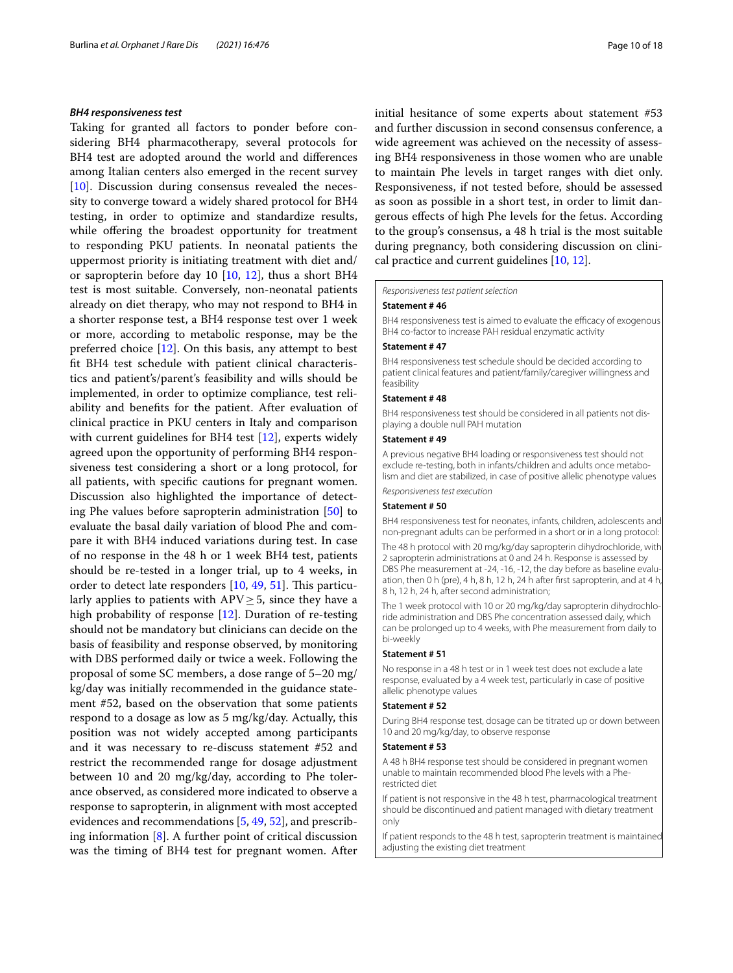### *BH4 responsiveness test*

Taking for granted all factors to ponder before considering BH4 pharmacotherapy, several protocols for BH4 test are adopted around the world and diferences among Italian centers also emerged in the recent survey [[10\]](#page-15-9). Discussion during consensus revealed the necessity to converge toward a widely shared protocol for BH4 testing, in order to optimize and standardize results, while offering the broadest opportunity for treatment to responding PKU patients. In neonatal patients the uppermost priority is initiating treatment with diet and/ or sapropterin before day 10 [[10](#page-15-9), [12\]](#page-15-11), thus a short BH4 test is most suitable. Conversely, non-neonatal patients already on diet therapy, who may not respond to BH4 in a shorter response test, a BH4 response test over 1 week or more, according to metabolic response, may be the preferred choice [[12\]](#page-15-11). On this basis, any attempt to best ft BH4 test schedule with patient clinical characteristics and patient's/parent's feasibility and wills should be implemented, in order to optimize compliance, test reliability and benefts for the patient. After evaluation of clinical practice in PKU centers in Italy and comparison with current guidelines for BH4 test [[12\]](#page-15-11), experts widely agreed upon the opportunity of performing BH4 responsiveness test considering a short or a long protocol, for all patients, with specifc cautions for pregnant women. Discussion also highlighted the importance of detecting Phe values before sapropterin administration [[50\]](#page-16-36) to evaluate the basal daily variation of blood Phe and compare it with BH4 induced variations during test. In case of no response in the 48 h or 1 week BH4 test, patients should be re-tested in a longer trial, up to 4 weeks, in order to detect late responders  $[10, 49, 51]$  $[10, 49, 51]$  $[10, 49, 51]$  $[10, 49, 51]$  $[10, 49, 51]$  $[10, 49, 51]$  $[10, 49, 51]$ . This particularly applies to patients with  $APV \geq 5$ , since they have a high probability of response [\[12](#page-15-11)]. Duration of re-testing should not be mandatory but clinicians can decide on the basis of feasibility and response observed, by monitoring with DBS performed daily or twice a week. Following the proposal of some SC members, a dose range of 5–20 mg/ kg/day was initially recommended in the guidance statement #52, based on the observation that some patients respond to a dosage as low as 5 mg/kg/day. Actually, this position was not widely accepted among participants and it was necessary to re-discuss statement #52 and restrict the recommended range for dosage adjustment between 10 and 20 mg/kg/day, according to Phe tolerance observed, as considered more indicated to observe a response to sapropterin, in alignment with most accepted evidences and recommendations [\[5](#page-15-4), [49](#page-16-35), [52\]](#page-16-38), and prescribing information  $[8]$  $[8]$ . A further point of critical discussion was the timing of BH4 test for pregnant women. After

initial hesitance of some experts about statement #53 and further discussion in second consensus conference, a wide agreement was achieved on the necessity of assessing BH4 responsiveness in those women who are unable to maintain Phe levels in target ranges with diet only. Responsiveness, if not tested before, should be assessed as soon as possible in a short test, in order to limit dangerous efects of high Phe levels for the fetus. According to the group's consensus, a 48 h trial is the most suitable during pregnancy, both considering discussion on clinical practice and current guidelines [[10](#page-15-9), [12\]](#page-15-11).

*Responsiveness test patient selection*

### **Statement # 46**

BH4 responsiveness test is aimed to evaluate the efficacy of exogenous BH4 co-factor to increase PAH residual enzymatic activity

### **Statement # 47**

BH4 responsiveness test schedule should be decided according to patient clinical features and patient/family/caregiver willingness and feasibility

#### **Statement # 48**

BH4 responsiveness test should be considered in all patients not displaying a double null PAH mutation

### **Statement # 49**

A previous negative BH4 loading or responsiveness test should not exclude re-testing, both in infants/children and adults once metabolism and diet are stabilized, in case of positive allelic phenotype values

*Responsiveness test execution*

### **Statement # 50**

BH4 responsiveness test for neonates, infants, children, adolescents and non-pregnant adults can be performed in a short or in a long protocol:

The 48 h protocol with 20 mg/kg/day sapropterin dihydrochloride, with 2 sapropterin administrations at 0 and 24 h. Response is assessed by DBS Phe measurement at -24, -16, -12, the day before as baseline evaluation, then 0 h (pre), 4 h, 8 h, 12 h, 24 h after frst sapropterin, and at 4 h, 8 h, 12 h, 24 h, after second administration;

The 1 week protocol with 10 or 20 mg/kg/day sapropterin dihydrochloride administration and DBS Phe concentration assessed daily, which can be prolonged up to 4 weeks, with Phe measurement from daily to bi-weekly

### **Statement # 51**

No response in a 48 h test or in 1 week test does not exclude a late response, evaluated by a 4 week test, particularly in case of positive allelic phenotype values

### **Statement # 52**

During BH4 response test, dosage can be titrated up or down between 10 and 20 mg/kg/day, to observe response

### **Statement # 53**

A 48 h BH4 response test should be considered in pregnant women unable to maintain recommended blood Phe levels with a Pherestricted diet

If patient is not responsive in the 48 h test, pharmacological treatment should be discontinued and patient managed with dietary treatment only

If patient responds to the 48 h test, sapropterin treatment is maintained adjusting the existing diet treatment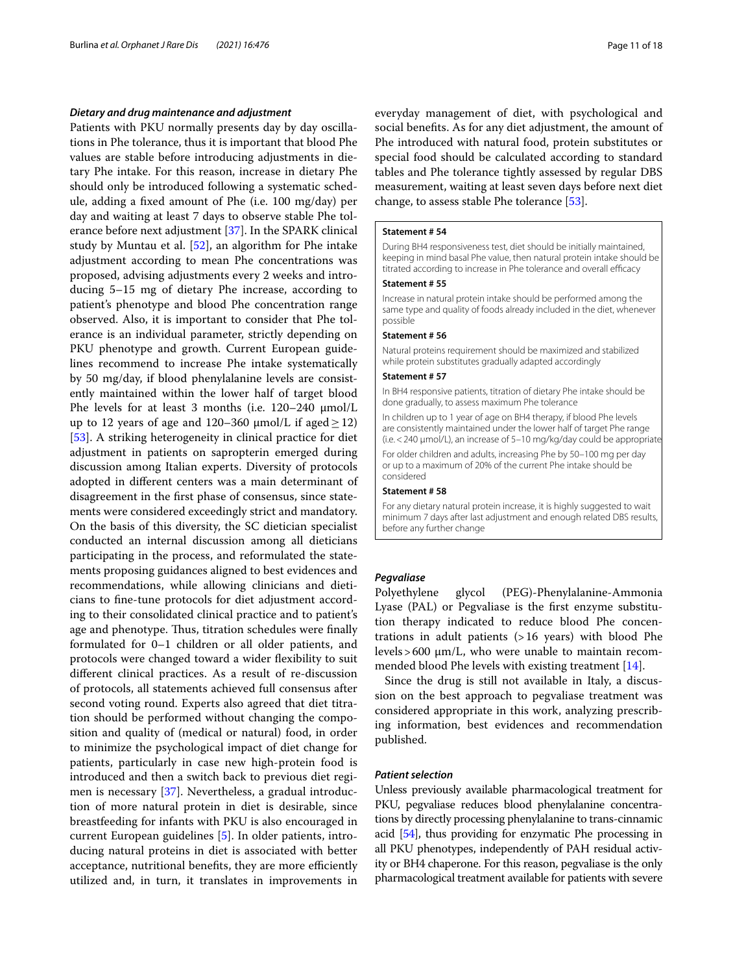### *Dietary and drug maintenance and adjustment*

Patients with PKU normally presents day by day oscillations in Phe tolerance, thus it is important that blood Phe values are stable before introducing adjustments in dietary Phe intake. For this reason, increase in dietary Phe should only be introduced following a systematic schedule, adding a fxed amount of Phe (i.e. 100 mg/day) per day and waiting at least 7 days to observe stable Phe tolerance before next adjustment [[37](#page-16-24)]. In the SPARK clinical study by Muntau et al. [\[52](#page-16-38)], an algorithm for Phe intake adjustment according to mean Phe concentrations was proposed, advising adjustments every 2 weeks and introducing 5–15 mg of dietary Phe increase, according to patient's phenotype and blood Phe concentration range observed. Also, it is important to consider that Phe tolerance is an individual parameter, strictly depending on PKU phenotype and growth. Current European guidelines recommend to increase Phe intake systematically by 50 mg/day, if blood phenylalanine levels are consistently maintained within the lower half of target blood Phe levels for at least 3 months (i.e. 120–240 μmol/L up to 12 years of age and 120–360  $\mu$ mol/L if aged  $\geq$  12) [[53\]](#page-16-39). A striking heterogeneity in clinical practice for diet adjustment in patients on sapropterin emerged during discussion among Italian experts. Diversity of protocols adopted in diferent centers was a main determinant of disagreement in the frst phase of consensus, since statements were considered exceedingly strict and mandatory. On the basis of this diversity, the SC dietician specialist conducted an internal discussion among all dieticians participating in the process, and reformulated the statements proposing guidances aligned to best evidences and recommendations, while allowing clinicians and dieticians to fne-tune protocols for diet adjustment according to their consolidated clinical practice and to patient's age and phenotype. Thus, titration schedules were finally formulated for 0–1 children or all older patients, and protocols were changed toward a wider fexibility to suit diferent clinical practices. As a result of re-discussion of protocols, all statements achieved full consensus after second voting round. Experts also agreed that diet titration should be performed without changing the composition and quality of (medical or natural) food, in order to minimize the psychological impact of diet change for patients, particularly in case new high-protein food is introduced and then a switch back to previous diet regimen is necessary [[37](#page-16-24)]. Nevertheless, a gradual introduction of more natural protein in diet is desirable, since breastfeeding for infants with PKU is also encouraged in current European guidelines [[5\]](#page-15-4). In older patients, introducing natural proteins in diet is associated with better acceptance, nutritional benefits, they are more efficiently utilized and, in turn, it translates in improvements in everyday management of diet, with psychological and social benefts. As for any diet adjustment, the amount of Phe introduced with natural food, protein substitutes or special food should be calculated according to standard tables and Phe tolerance tightly assessed by regular DBS measurement, waiting at least seven days before next diet change, to assess stable Phe tolerance [\[53](#page-16-39)].

### **Statement # 54**

During BH4 responsiveness test, diet should be initially maintained, keeping in mind basal Phe value, then natural protein intake should be titrated according to increase in Phe tolerance and overall efficacy

#### **Statement # 55**

Increase in natural protein intake should be performed among the same type and quality of foods already included in the diet, whenever possible

### **Statement # 56**

Natural proteins requirement should be maximized and stabilized while protein substitutes gradually adapted accordingly

### **Statement # 57**

In BH4 responsive patients, titration of dietary Phe intake should be done gradually, to assess maximum Phe tolerance

In children up to 1 year of age on BH4 therapy, if blood Phe levels are consistently maintained under the lower half of target Phe range (i.e.<240 µmol/L), an increase of 5–10 mg/kg/day could be appropriate

For older children and adults, increasing Phe by 50–100 mg per day or up to a maximum of 20% of the current Phe intake should be considered

#### **Statement # 58**

For any dietary natural protein increase, it is highly suggested to wait minimum 7 days after last adjustment and enough related DBS results, before any further change

### *Pegvaliase*

Polyethylene glycol (PEG)-Phenylalanine-Ammonia Lyase (PAL) or Pegvaliase is the frst enzyme substitution therapy indicated to reduce blood Phe concentrations in adult patients (>16 years) with blood Phe levels >  $600 \mu m/L$ , who were unable to maintain recommended blood Phe levels with existing treatment [\[14\]](#page-16-1).

Since the drug is still not available in Italy, a discussion on the best approach to pegvaliase treatment was considered appropriate in this work, analyzing prescribing information, best evidences and recommendation published.

#### *Patient selection*

Unless previously available pharmacological treatment for PKU, pegvaliase reduces blood phenylalanine concentrations by directly processing phenylalanine to trans-cinnamic acid [[54](#page-16-40)], thus providing for enzymatic Phe processing in all PKU phenotypes, independently of PAH residual activity or BH4 chaperone. For this reason, pegvaliase is the only pharmacological treatment available for patients with severe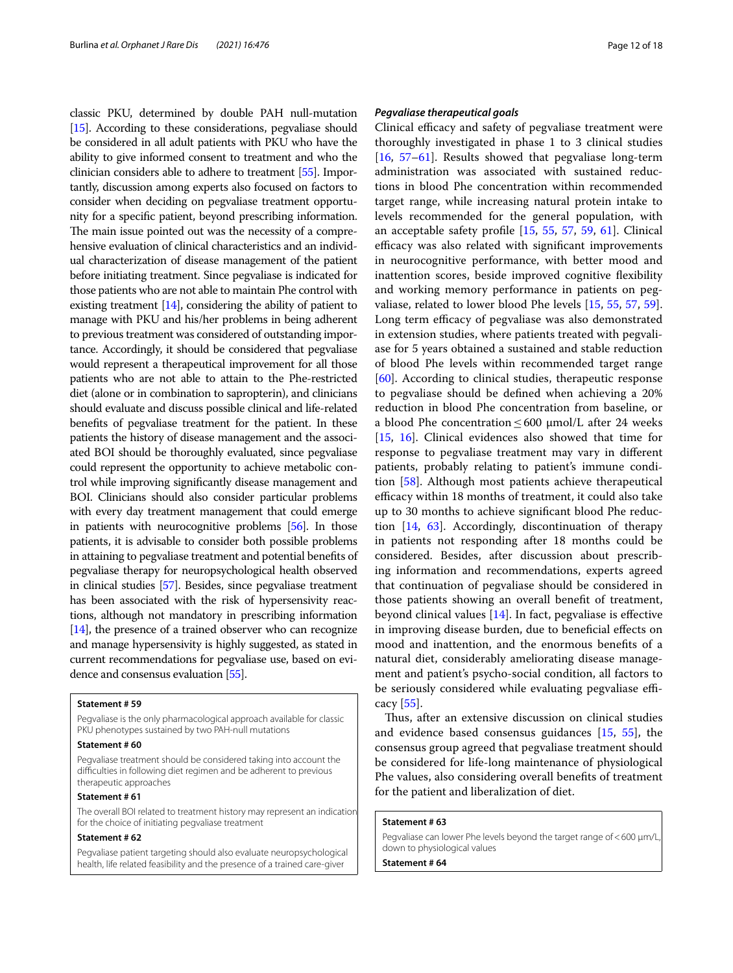classic PKU, determined by double PAH null-mutation [[15](#page-16-2)]. According to these considerations, pegvaliase should be considered in all adult patients with PKU who have the ability to give informed consent to treatment and who the clinician considers able to adhere to treatment [\[55\]](#page-17-0). Importantly, discussion among experts also focused on factors to consider when deciding on pegvaliase treatment opportunity for a specifc patient, beyond prescribing information. The main issue pointed out was the necessity of a comprehensive evaluation of clinical characteristics and an individual characterization of disease management of the patient before initiating treatment. Since pegvaliase is indicated for those patients who are not able to maintain Phe control with existing treatment [\[14\]](#page-16-1), considering the ability of patient to manage with PKU and his/her problems in being adherent to previous treatment was considered of outstanding importance. Accordingly, it should be considered that pegvaliase would represent a therapeutical improvement for all those patients who are not able to attain to the Phe-restricted diet (alone or in combination to sapropterin), and clinicians should evaluate and discuss possible clinical and life-related benefts of pegvaliase treatment for the patient. In these patients the history of disease management and the associated BOI should be thoroughly evaluated, since pegvaliase could represent the opportunity to achieve metabolic control while improving signifcantly disease management and BOI. Clinicians should also consider particular problems with every day treatment management that could emerge in patients with neurocognitive problems [\[56\]](#page-17-1). In those patients, it is advisable to consider both possible problems in attaining to pegvaliase treatment and potential benefts of pegvaliase therapy for neuropsychological health observed in clinical studies [\[57\]](#page-17-2). Besides, since pegvaliase treatment has been associated with the risk of hypersensivity reactions, although not mandatory in prescribing information [[14](#page-16-1)], the presence of a trained observer who can recognize and manage hypersensivity is highly suggested, as stated in current recommendations for pegvaliase use, based on evidence and consensus evaluation [\[55\]](#page-17-0).

### **Statement # 59**

Pegvaliase is the only pharmacological approach available for classic PKU phenotypes sustained by two PAH-null mutations

#### **Statement # 60**

Pegvaliase treatment should be considered taking into account the difculties in following diet regimen and be adherent to previous therapeutic approaches

### **Statement # 61**

The overall BOI related to treatment history may represent an indicatior for the choice of initiating pegvaliase treatment

#### **Statement # 62**

Pegvaliase patient targeting should also evaluate neuropsychological health, life related feasibility and the presence of a trained care-giver

### *Pegvaliase therapeutical goals*

Clinical efficacy and safety of pegvaliase treatment were thoroughly investigated in phase 1 to 3 clinical studies [[16,](#page-16-3) [57](#page-17-2)[–61](#page-17-3)]. Results showed that pegvaliase long-term administration was associated with sustained reductions in blood Phe concentration within recommended target range, while increasing natural protein intake to levels recommended for the general population, with an acceptable safety profle [\[15](#page-16-2), [55,](#page-17-0) [57](#page-17-2), [59](#page-17-4), [61\]](#page-17-3). Clinical efficacy was also related with significant improvements in neurocognitive performance, with better mood and inattention scores, beside improved cognitive fexibility and working memory performance in patients on pegvaliase, related to lower blood Phe levels [\[15](#page-16-2), [55](#page-17-0), [57](#page-17-2), [59](#page-17-4)]. Long term efficacy of pegvaliase was also demonstrated in extension studies, where patients treated with pegvaliase for 5 years obtained a sustained and stable reduction of blood Phe levels within recommended target range [[60\]](#page-17-5). According to clinical studies, therapeutic response to pegvaliase should be defned when achieving a 20% reduction in blood Phe concentration from baseline, or a blood Phe concentration  $\leq 600$   $\mu$ mol/L after 24 weeks [[15,](#page-16-2) [16\]](#page-16-3). Clinical evidences also showed that time for response to pegvaliase treatment may vary in diferent patients, probably relating to patient's immune condition [\[58](#page-17-6)]. Although most patients achieve therapeutical efficacy within 18 months of treatment, it could also take up to 30 months to achieve signifcant blood Phe reduction [[14,](#page-16-1) [63](#page-17-7)]. Accordingly, discontinuation of therapy in patients not responding after 18 months could be considered. Besides, after discussion about prescribing information and recommendations, experts agreed that continuation of pegvaliase should be considered in those patients showing an overall beneft of treatment, beyond clinical values  $[14]$  $[14]$ . In fact, pegvaliase is effective in improving disease burden, due to benefcial efects on mood and inattention, and the enormous benefts of a natural diet, considerably ameliorating disease management and patient's psycho-social condition, all factors to be seriously considered while evaluating pegvaliase efficacy [\[55](#page-17-0)].

Thus, after an extensive discussion on clinical studies and evidence based consensus guidances [[15,](#page-16-2) [55](#page-17-0)], the consensus group agreed that pegvaliase treatment should be considered for life-long maintenance of physiological Phe values, also considering overall benefts of treatment for the patient and liberalization of diet.

#### **Statement # 63**

Pegvaliase can lower Phe levels beyond the target range of <600  $\mu$ m/L down to physiological values

**Statement # 64**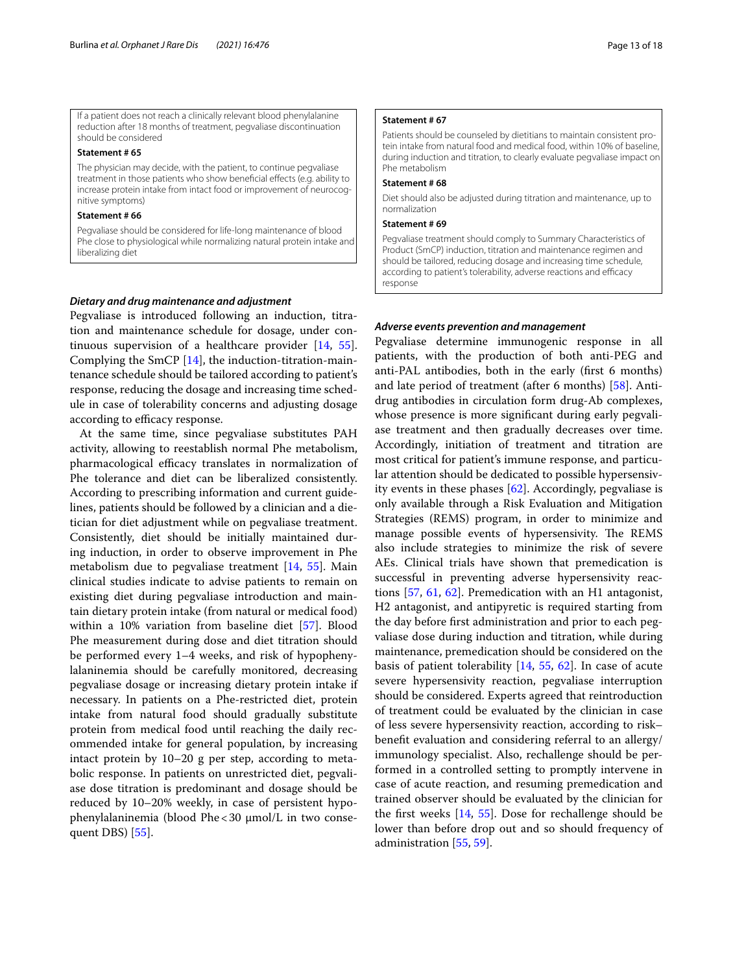If a patient does not reach a clinically relevant blood phenylalanine reduction after 18 months of treatment, pegvaliase discontinuation should be considered

### **Statement # 65**

The physician may decide, with the patient, to continue pegvaliase treatment in those patients who show benefcial efects (e.g. ability to increase protein intake from intact food or improvement of neurocognitive symptoms)

#### **Statement # 66**

Pegvaliase should be considered for life-long maintenance of blood Phe close to physiological while normalizing natural protein intake and liberalizing diet

### *Dietary and drug maintenance and adjustment*

Pegvaliase is introduced following an induction, titration and maintenance schedule for dosage, under continuous supervision of a healthcare provider [\[14](#page-16-1), [55](#page-17-0)]. Complying the SmCP [[14\]](#page-16-1), the induction-titration-maintenance schedule should be tailored according to patient's response, reducing the dosage and increasing time schedule in case of tolerability concerns and adjusting dosage according to efficacy response.

At the same time, since pegvaliase substitutes PAH activity, allowing to reestablish normal Phe metabolism, pharmacological efficacy translates in normalization of Phe tolerance and diet can be liberalized consistently. According to prescribing information and current guidelines, patients should be followed by a clinician and a dietician for diet adjustment while on pegvaliase treatment. Consistently, diet should be initially maintained during induction, in order to observe improvement in Phe metabolism due to pegvaliase treatment [[14](#page-16-1), [55](#page-17-0)]. Main clinical studies indicate to advise patients to remain on existing diet during pegvaliase introduction and maintain dietary protein intake (from natural or medical food) within a 10% variation from baseline diet [\[57](#page-17-2)]. Blood Phe measurement during dose and diet titration should be performed every 1–4 weeks, and risk of hypophenylalaninemia should be carefully monitored, decreasing pegvaliase dosage or increasing dietary protein intake if necessary. In patients on a Phe-restricted diet, protein intake from natural food should gradually substitute protein from medical food until reaching the daily recommended intake for general population, by increasing intact protein by 10–20 g per step, according to metabolic response. In patients on unrestricted diet, pegvaliase dose titration is predominant and dosage should be reduced by 10–20% weekly, in case of persistent hypophenylalaninemia (blood Phe < 30 µmol/L in two consequent DBS) [\[55](#page-17-0)].

### **Statement # 67**

Patients should be counseled by dietitians to maintain consistent protein intake from natural food and medical food, within 10% of baseline, during induction and titration, to clearly evaluate pegvaliase impact on Phe metabolism

#### **Statement # 68**

Diet should also be adjusted during titration and maintenance, up to normalization

### **Statement # 69**

Pegvaliase treatment should comply to Summary Characteristics of Product (SmCP) induction, titration and maintenance regimen and should be tailored, reducing dosage and increasing time schedule, according to patient's tolerability, adverse reactions and efficacy response

### *Adverse events prevention and management*

Pegvaliase determine immunogenic response in all patients, with the production of both anti-PEG and anti-PAL antibodies, both in the early (frst 6 months) and late period of treatment (after 6 months) [[58](#page-17-6)]. Antidrug antibodies in circulation form drug-Ab complexes, whose presence is more signifcant during early pegvaliase treatment and then gradually decreases over time. Accordingly, initiation of treatment and titration are most critical for patient's immune response, and particular attention should be dedicated to possible hypersensivity events in these phases [\[62](#page-17-8)]. Accordingly, pegvaliase is only available through a Risk Evaluation and Mitigation Strategies (REMS) program, in order to minimize and manage possible events of hypersensivity. The REMS also include strategies to minimize the risk of severe AEs. Clinical trials have shown that premedication is successful in preventing adverse hypersensivity reactions [\[57](#page-17-2), [61](#page-17-3), [62\]](#page-17-8). Premedication with an H1 antagonist, H2 antagonist, and antipyretic is required starting from the day before frst administration and prior to each pegvaliase dose during induction and titration, while during maintenance, premedication should be considered on the basis of patient tolerability [[14](#page-16-1), [55,](#page-17-0) [62](#page-17-8)]. In case of acute severe hypersensivity reaction, pegvaliase interruption should be considered. Experts agreed that reintroduction of treatment could be evaluated by the clinician in case of less severe hypersensivity reaction, according to risk– beneft evaluation and considering referral to an allergy/ immunology specialist. Also, rechallenge should be performed in a controlled setting to promptly intervene in case of acute reaction, and resuming premedication and trained observer should be evaluated by the clinician for the frst weeks [[14,](#page-16-1) [55](#page-17-0)]. Dose for rechallenge should be lower than before drop out and so should frequency of administration [[55](#page-17-0), [59\]](#page-17-4).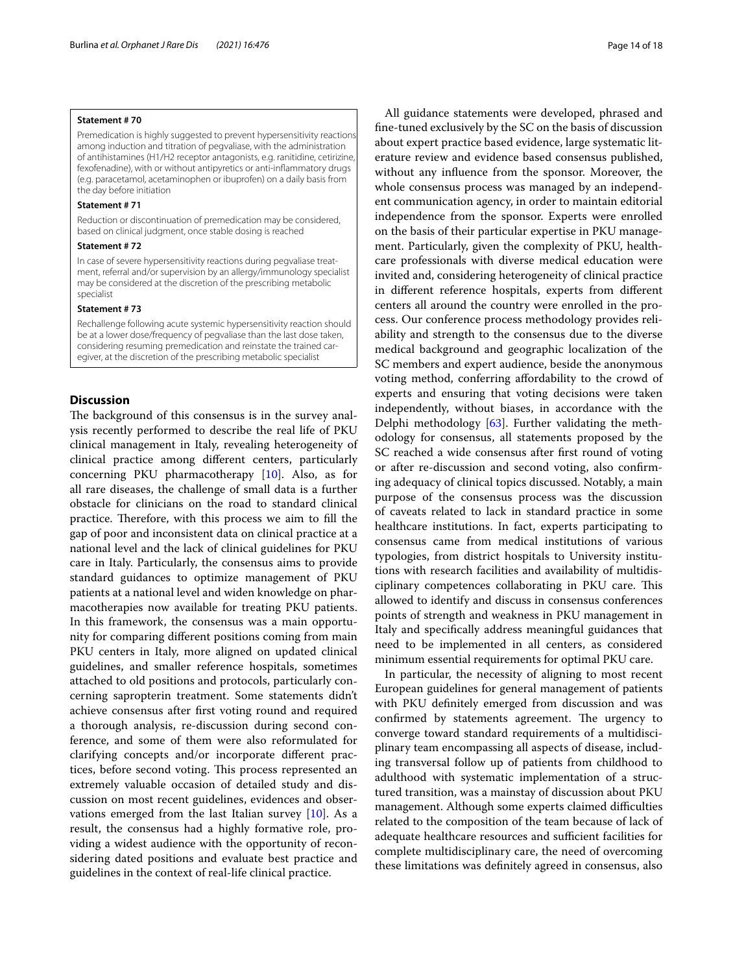### **Statement # 70**

Premedication is highly suggested to prevent hypersensitivity reactions among induction and titration of pegvaliase, with the administration of antihistamines (H1/H2 receptor antagonists, e.g. ranitidine, cetirizine, fexofenadine), with or without antipyretics or anti-infammatory drugs (e.g. paracetamol, acetaminophen or ibuprofen) on a daily basis from the day before initiation

### **Statement # 71**

Reduction or discontinuation of premedication may be considered, based on clinical judgment, once stable dosing is reached

### **Statement # 72**

In case of severe hypersensitivity reactions during pegvaliase treatment, referral and/or supervision by an allergy/immunology specialist may be considered at the discretion of the prescribing metabolic specialist

### **Statement # 73**

Rechallenge following acute systemic hypersensitivity reaction should be at a lower dose/frequency of pegvaliase than the last dose taken, considering resuming premedication and reinstate the trained caregiver, at the discretion of the prescribing metabolic specialist

### **Discussion**

The background of this consensus is in the survey analysis recently performed to describe the real life of PKU clinical management in Italy, revealing heterogeneity of clinical practice among diferent centers, particularly concerning PKU pharmacotherapy [[10\]](#page-15-9). Also, as for all rare diseases, the challenge of small data is a further obstacle for clinicians on the road to standard clinical practice. Therefore, with this process we aim to fill the gap of poor and inconsistent data on clinical practice at a national level and the lack of clinical guidelines for PKU care in Italy. Particularly, the consensus aims to provide standard guidances to optimize management of PKU patients at a national level and widen knowledge on pharmacotherapies now available for treating PKU patients. In this framework, the consensus was a main opportunity for comparing diferent positions coming from main PKU centers in Italy, more aligned on updated clinical guidelines, and smaller reference hospitals, sometimes attached to old positions and protocols, particularly concerning sapropterin treatment. Some statements didn't achieve consensus after frst voting round and required a thorough analysis, re-discussion during second conference, and some of them were also reformulated for clarifying concepts and/or incorporate diferent practices, before second voting. This process represented an extremely valuable occasion of detailed study and discussion on most recent guidelines, evidences and observations emerged from the last Italian survey  $[10]$ . As a result, the consensus had a highly formative role, providing a widest audience with the opportunity of reconsidering dated positions and evaluate best practice and guidelines in the context of real-life clinical practice.

All guidance statements were developed, phrased and fne-tuned exclusively by the SC on the basis of discussion about expert practice based evidence, large systematic literature review and evidence based consensus published, without any infuence from the sponsor. Moreover, the whole consensus process was managed by an independent communication agency, in order to maintain editorial independence from the sponsor. Experts were enrolled on the basis of their particular expertise in PKU management. Particularly, given the complexity of PKU, healthcare professionals with diverse medical education were invited and, considering heterogeneity of clinical practice in diferent reference hospitals, experts from diferent centers all around the country were enrolled in the process. Our conference process methodology provides reliability and strength to the consensus due to the diverse medical background and geographic localization of the SC members and expert audience, beside the anonymous voting method, conferring afordability to the crowd of experts and ensuring that voting decisions were taken independently, without biases, in accordance with the Delphi methodology [[63\]](#page-17-7). Further validating the methodology for consensus, all statements proposed by the SC reached a wide consensus after frst round of voting or after re-discussion and second voting, also confrming adequacy of clinical topics discussed. Notably, a main purpose of the consensus process was the discussion of caveats related to lack in standard practice in some healthcare institutions. In fact, experts participating to consensus came from medical institutions of various typologies, from district hospitals to University institutions with research facilities and availability of multidisciplinary competences collaborating in PKU care. This allowed to identify and discuss in consensus conferences points of strength and weakness in PKU management in Italy and specifcally address meaningful guidances that need to be implemented in all centers, as considered minimum essential requirements for optimal PKU care.

In particular, the necessity of aligning to most recent European guidelines for general management of patients with PKU defnitely emerged from discussion and was confirmed by statements agreement. The urgency to converge toward standard requirements of a multidisciplinary team encompassing all aspects of disease, including transversal follow up of patients from childhood to adulthood with systematic implementation of a structured transition, was a mainstay of discussion about PKU management. Although some experts claimed difficulties related to the composition of the team because of lack of adequate healthcare resources and sufficient facilities for complete multidisciplinary care, the need of overcoming these limitations was defnitely agreed in consensus, also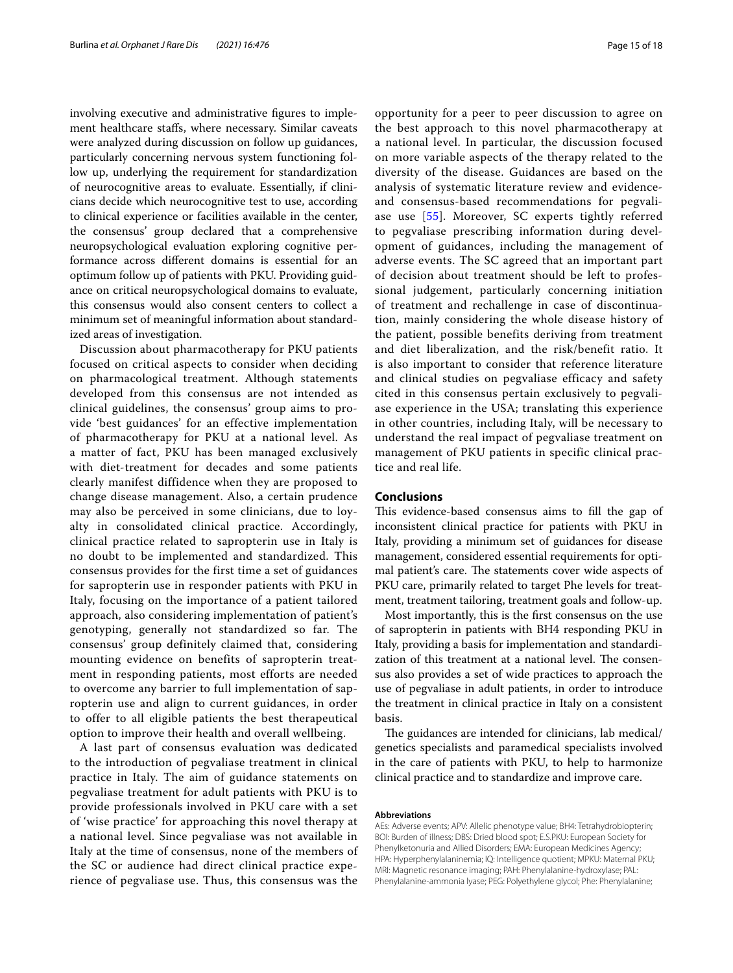involving executive and administrative fgures to implement healthcare stafs, where necessary. Similar caveats were analyzed during discussion on follow up guidances, particularly concerning nervous system functioning follow up, underlying the requirement for standardization of neurocognitive areas to evaluate. Essentially, if clinicians decide which neurocognitive test to use, according to clinical experience or facilities available in the center, the consensus' group declared that a comprehensive neuropsychological evaluation exploring cognitive performance across diferent domains is essential for an optimum follow up of patients with PKU. Providing guidance on critical neuropsychological domains to evaluate, this consensus would also consent centers to collect a minimum set of meaningful information about standardized areas of investigation.

Discussion about pharmacotherapy for PKU patients focused on critical aspects to consider when deciding on pharmacological treatment. Although statements developed from this consensus are not intended as clinical guidelines, the consensus' group aims to provide 'best guidances' for an effective implementation of pharmacotherapy for PKU at a national level. As a matter of fact, PKU has been managed exclusively with diet-treatment for decades and some patients clearly manifest diffidence when they are proposed to change disease management. Also, a certain prudence may also be perceived in some clinicians, due to loyalty in consolidated clinical practice. Accordingly, clinical practice related to sapropterin use in Italy is no doubt to be implemented and standardized. This consensus provides for the first time a set of guidances for sapropterin use in responder patients with PKU in Italy, focusing on the importance of a patient tailored approach, also considering implementation of patient's genotyping, generally not standardized so far. The consensus' group definitely claimed that, considering mounting evidence on benefits of sapropterin treatment in responding patients, most efforts are needed to overcome any barrier to full implementation of sapropterin use and align to current guidances, in order to offer to all eligible patients the best therapeutical option to improve their health and overall wellbeing.

A last part of consensus evaluation was dedicated to the introduction of pegvaliase treatment in clinical practice in Italy. The aim of guidance statements on pegvaliase treatment for adult patients with PKU is to provide professionals involved in PKU care with a set of 'wise practice' for approaching this novel therapy at a national level. Since pegvaliase was not available in Italy at the time of consensus, none of the members of the SC or audience had direct clinical practice experience of pegvaliase use. Thus, this consensus was the opportunity for a peer to peer discussion to agree on the best approach to this novel pharmacotherapy at a national level. In particular, the discussion focused on more variable aspects of the therapy related to the diversity of the disease. Guidances are based on the analysis of systematic literature review and evidenceand consensus-based recommendations for pegvaliase use [[55\]](#page-17-0). Moreover, SC experts tightly referred to pegvaliase prescribing information during development of guidances, including the management of adverse events. The SC agreed that an important part of decision about treatment should be left to professional judgement, particularly concerning initiation of treatment and rechallenge in case of discontinuation, mainly considering the whole disease history of the patient, possible benefits deriving from treatment and diet liberalization, and the risk/benefit ratio. It is also important to consider that reference literature and clinical studies on pegvaliase efficacy and safety cited in this consensus pertain exclusively to pegvaliase experience in the USA; translating this experience in other countries, including Italy, will be necessary to understand the real impact of pegvaliase treatment on management of PKU patients in specific clinical practice and real life.

### **Conclusions**

This evidence-based consensus aims to fill the gap of inconsistent clinical practice for patients with PKU in Italy, providing a minimum set of guidances for disease management, considered essential requirements for optimal patient's care. The statements cover wide aspects of PKU care, primarily related to target Phe levels for treatment, treatment tailoring, treatment goals and follow-up.

Most importantly, this is the frst consensus on the use of sapropterin in patients with BH4 responding PKU in Italy, providing a basis for implementation and standardization of this treatment at a national level. The consensus also provides a set of wide practices to approach the use of pegvaliase in adult patients, in order to introduce the treatment in clinical practice in Italy on a consistent basis.

The guidances are intended for clinicians, lab medical/ genetics specialists and paramedical specialists involved in the care of patients with PKU, to help to harmonize clinical practice and to standardize and improve care.

### **Abbreviations**

AEs: Adverse events; APV: Allelic phenotype value; BH4: Tetrahydrobiopterin; BOI: Burden of illness; DBS: Dried blood spot; E.S.PKU: European Society for Phenylketonuria and Allied Disorders; EMA: European Medicines Agency; HPA: Hyperphenylalaninemia; IQ: Intelligence quotient; MPKU: Maternal PKU; MRI: Magnetic resonance imaging; PAH: Phenylalanine-hydroxylase; PAL: Phenylalanine-ammonia lyase; PEG: Polyethylene glycol; Phe: Phenylalanine;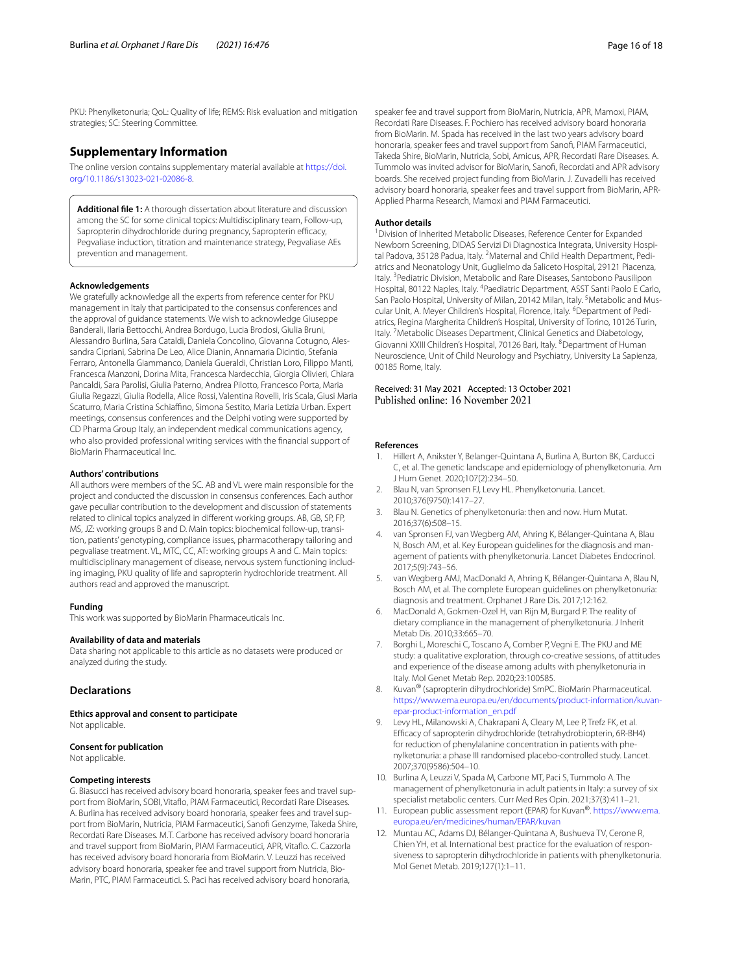PKU: Phenylketonuria; QoL: Quality of life; REMS: Risk evaluation and mitigation strategies; SC: Steering Committee.

### **Supplementary Information**

The online version contains supplementary material available at [https://doi.](https://doi.org/10.1186/s13023-021-02086-8) [org/10.1186/s13023-021-02086-8](https://doi.org/10.1186/s13023-021-02086-8).

**Additional fle 1:** A thorough dissertation about literature and discussion among the SC for some clinical topics: Multidisciplinary team, Follow-up, Sapropterin dihydrochloride during pregnancy, Sapropterin efficacy, Pegvaliase induction, titration and maintenance strategy, Pegvaliase AEs prevention and management.

#### **Acknowledgements**

We gratefully acknowledge all the experts from reference center for PKU management in Italy that participated to the consensus conferences and the approval of guidance statements. We wish to acknowledge Giuseppe Banderali, Ilaria Bettocchi, Andrea Bordugo, Lucia Brodosi, Giulia Bruni, Alessandro Burlina, Sara Cataldi, Daniela Concolino, Giovanna Cotugno, Alessandra Cipriani, Sabrina De Leo, Alice Dianin, Annamaria Dicintio, Stefania Ferraro, Antonella Giammanco, Daniela Gueraldi, Christian Loro, Filippo Manti, Francesca Manzoni, Dorina Mita, Francesca Nardecchia, Giorgia Olivieri, Chiara Pancaldi, Sara Parolisi, Giulia Paterno, Andrea Pilotto, Francesco Porta, Maria Giulia Regazzi, Giulia Rodella, Alice Rossi, Valentina Rovelli, Iris Scala, Giusi Maria Scaturro, Maria Cristina Schiaffino, Simona Sestito, Maria Letizia Urban. Expert meetings, consensus conferences and the Delphi voting were supported by CD Pharma Group Italy, an independent medical communications agency, who also provided professional writing services with the fnancial support of BioMarin Pharmaceutical Inc.

#### **Authors' contributions**

All authors were members of the SC. AB and VL were main responsible for the project and conducted the discussion in consensus conferences. Each author gave peculiar contribution to the development and discussion of statements related to clinical topics analyzed in diferent working groups. AB, GB, SP, FP, MS, JZ: working groups B and D. Main topics: biochemical follow-up, transition, patients' genotyping, compliance issues, pharmacotherapy tailoring and pegvaliase treatment. VL, MTC, CC, AT: working groups A and C. Main topics: multidisciplinary management of disease, nervous system functioning including imaging, PKU quality of life and sapropterin hydrochloride treatment. All authors read and approved the manuscript.

### **Funding**

This work was supported by BioMarin Pharmaceuticals Inc.

### **Availability of data and materials**

Data sharing not applicable to this article as no datasets were produced or analyzed during the study.

### **Declarations**

**Ethics approval and consent to participate** Not applicable.

### **Consent for publication**

Not applicable.

#### **Competing interests**

G. Biasucci has received advisory board honoraria, speaker fees and travel support from BioMarin, SOBI, Vitaflo, PIAM Farmaceutici, Recordati Rare Diseases. A. Burlina has received advisory board honoraria, speaker fees and travel support from BioMarin, Nutricia, PIAM Farmaceutici, Sanof Genzyme, Takeda Shire, Recordati Rare Diseases. M.T. Carbone has received advisory board honoraria and travel support from BioMarin, PIAM Farmaceutici, APR, Vitafo. C. Cazzorla has received advisory board honoraria from BioMarin. V. Leuzzi has received advisory board honoraria, speaker fee and travel support from Nutricia, Bio-Marin, PTC, PIAM Farmaceutici. S. Paci has received advisory board honoraria,

speaker fee and travel support from BioMarin, Nutricia, APR, Mamoxi, PIAM, Recordati Rare Diseases. F. Pochiero has received advisory board honoraria from BioMarin. M. Spada has received in the last two years advisory board honoraria, speaker fees and travel support from Sanof, PIAM Farmaceutici, Takeda Shire, BioMarin, Nutricia, Sobi, Amicus, APR, Recordati Rare Diseases. A. Tummolo was invited advisor for BioMarin, Sanof, Recordati and APR advisory boards. She received project funding from BioMarin. J. Zuvadelli has received advisory board honoraria, speaker fees and travel support from BioMarin, APR-Applied Pharma Research, Mamoxi and PIAM Farmaceutici.

#### **Author details**

<sup>1</sup> Division of Inherited Metabolic Diseases, Reference Center for Expanded Newborn Screening, DIDAS Servizi Di Diagnostica Integrata, University Hospital Padova, 35128 Padua, Italy. <sup>2</sup>Maternal and Child Health Department, Pediatrics and Neonatology Unit, Guglielmo da Saliceto Hospital, 29121 Piacenza, Italy. <sup>3</sup> Pediatric Division, Metabolic and Rare Diseases, Santobono Pausilipon Hospital, 80122 Naples, Italy. <sup>4</sup> Paediatric Department, ASST Santi Paolo E Carlo, San Paolo Hospital, University of Milan, 20142 Milan, Italy. <sup>5</sup> Metabolic and Muscular Unit, A. Meyer Children's Hospital, Florence, Italy. <sup>6</sup>Department of Pediatrics, Regina Margherita Children's Hospital, University of Torino, 10126 Turin, Italy. <sup>7</sup> Metabolic Diseases Department, Clinical Genetics and Diabetology, Giovanni XXIII Children's Hospital, 70126 Bari, Italy. <sup>8</sup> Department of Human Neuroscience, Unit of Child Neurology and Psychiatry, University La Sapienza, 00185 Rome, Italy.

## Received: 31 May 2021 Accepted: 13 October 2021

### **References**

- <span id="page-15-0"></span>1. Hillert A, Anikster Y, Belanger-Quintana A, Burlina A, Burton BK, Carducci C, et al. The genetic landscape and epidemiology of phenylketonuria. Am J Hum Genet. 2020;107(2):234–50.
- <span id="page-15-1"></span>2. Blau N, van Spronsen FJ, Levy HL. Phenylketonuria. Lancet. 2010;376(9750):1417–27.
- <span id="page-15-2"></span>Blau N. Genetics of phenylketonuria: then and now. Hum Mutat. 2016;37(6):508–15.
- <span id="page-15-3"></span>4. van Spronsen FJ, van Wegberg AM, Ahring K, Bélanger-Quintana A, Blau N, Bosch AM, et al. Key European guidelines for the diagnosis and management of patients with phenylketonuria. Lancet Diabetes Endocrinol. 2017;5(9):743–56.
- <span id="page-15-4"></span>van Wegberg AMJ, MacDonald A, Ahring K, Bélanger-Quintana A, Blau N, Bosch AM, et al. The complete European guidelines on phenylketonuria: diagnosis and treatment. Orphanet J Rare Dis. 2017;12:162.
- <span id="page-15-5"></span>6. MacDonald A, Gokmen-Ozel H, van Rijn M, Burgard P. The reality of dietary compliance in the management of phenylketonuria. J Inherit Metab Dis. 2010;33:665–70.
- <span id="page-15-6"></span>7. Borghi L, Moreschi C, Toscano A, Comber P, Vegni E. The PKU and ME study: a qualitative exploration, through co-creative sessions, of attitudes and experience of the disease among adults with phenylketonuria in Italy. Mol Genet Metab Rep. 2020;23:100585.
- <span id="page-15-7"></span>8. Kuvan® (sapropterin dihydrochloride) SmPC. BioMarin Pharmaceutical. [https://www.ema.europa.eu/en/documents/product-information/kuvan](https://www.ema.europa.eu/en/documents/product-information/kuvan-epar-product-information_en.pdf)[epar-product-information\\_en.pdf](https://www.ema.europa.eu/en/documents/product-information/kuvan-epar-product-information_en.pdf)
- <span id="page-15-8"></span>9. Levy HL, Milanowski A, Chakrapani A, Cleary M, Lee P, Trefz FK, et al. Efficacy of sapropterin dihydrochloride (tetrahydrobiopterin, 6R-BH4) for reduction of phenylalanine concentration in patients with phenylketonuria: a phase III randomised placebo-controlled study. Lancet. 2007;370(9586):504–10.
- <span id="page-15-9"></span>10. Burlina A, Leuzzi V, Spada M, Carbone MT, Paci S, Tummolo A. The management of phenylketonuria in adult patients in Italy: a survey of six specialist metabolic centers. Curr Med Res Opin. 2021;37(3):411–21.
- <span id="page-15-10"></span>11. European public assessment report (EPAR) for Kuvan®. [https://www.ema.](https://www.ema.europa.eu/en/medicines/human/EPAR/kuvan) [europa.eu/en/medicines/human/EPAR/kuvan](https://www.ema.europa.eu/en/medicines/human/EPAR/kuvan)
- <span id="page-15-11"></span>12. Muntau AC, Adams DJ, Bélanger-Quintana A, Bushueva TV, Cerone R, Chien YH, et al. International best practice for the evaluation of responsiveness to sapropterin dihydrochloride in patients with phenylketonuria. Mol Genet Metab. 2019;127(1):1–11.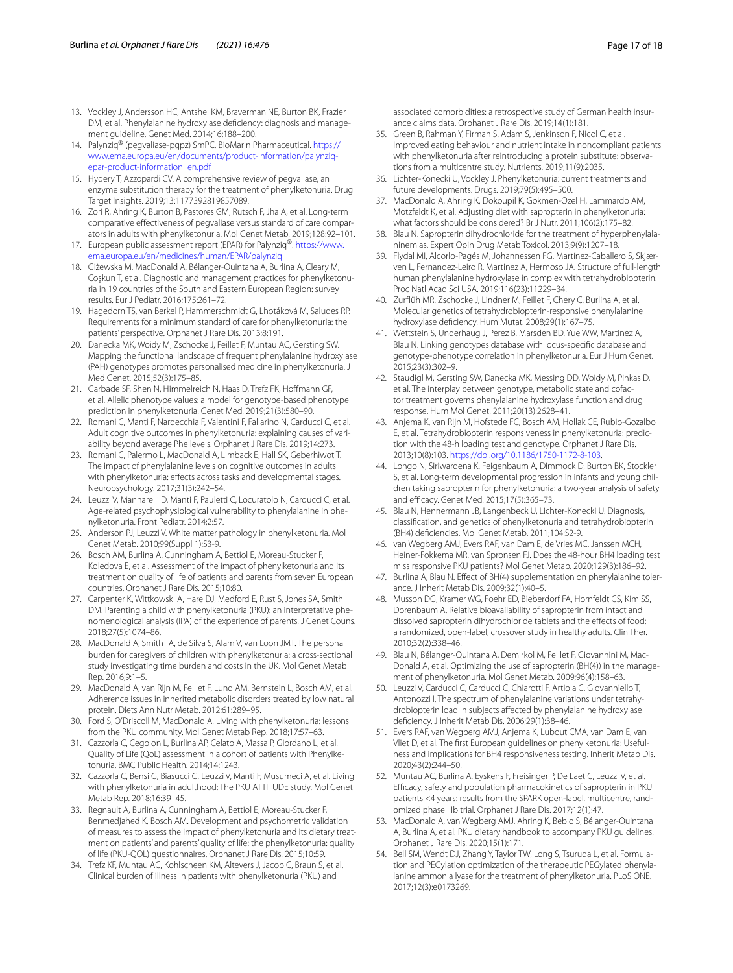- <span id="page-16-0"></span>13. Vockley J, Andersson HC, Antshel KM, Braverman NE, Burton BK, Frazier DM, et al. Phenylalanine hydroxylase defciency: diagnosis and management guideline. Genet Med. 2014;16:188–200.
- <span id="page-16-1"></span>14. Palynziq® (pegvaliase-pqpz) SmPC. BioMarin Pharmaceutical. [https://](https://www.ema.europa.eu/en/documents/product-information/palynziq-epar-product-information_en.pdf) [www.ema.europa.eu/en/documents/product-information/palynziq](https://www.ema.europa.eu/en/documents/product-information/palynziq-epar-product-information_en.pdf)[epar-product-information\\_en.pdf](https://www.ema.europa.eu/en/documents/product-information/palynziq-epar-product-information_en.pdf)
- <span id="page-16-2"></span>15. Hydery T, Azzopardi CV. A comprehensive review of pegvaliase, an enzyme substitution therapy for the treatment of phenylketonuria. Drug Target Insights. 2019;13:1177392819857089.
- <span id="page-16-3"></span>16. Zori R, Ahring K, Burton B, Pastores GM, Rutsch F, Jha A, et al. Long-term comparative efectiveness of pegvaliase versus standard of care comparators in adults with phenylketonuria. Mol Genet Metab. 2019;128:92–101.
- <span id="page-16-4"></span>17. European public assessment report (EPAR) for Palynziq®. [https://www.](https://www.ema.europa.eu/en/medicines/human/EPAR/palynziq) [ema.europa.eu/en/medicines/human/EPAR/palynziq](https://www.ema.europa.eu/en/medicines/human/EPAR/palynziq)
- <span id="page-16-5"></span>18. Giżewska M, MacDonald A, Bélanger-Quintana A, Burlina A, Cleary M, Coşkun T, et al. Diagnostic and management practices for phenylketonuria in 19 countries of the South and Eastern European Region: survey results. Eur J Pediatr. 2016;175:261–72.
- <span id="page-16-6"></span>19. Hagedorn TS, van Berkel P, Hammerschmidt G, Lhotáková M, Saludes RP. Requirements for a minimum standard of care for phenylketonuria: the patients' perspective. Orphanet J Rare Dis. 2013;8:191.
- <span id="page-16-7"></span>20. Danecka MK, Woidy M, Zschocke J, Feillet F, Muntau AC, Gersting SW. Mapping the functional landscape of frequent phenylalanine hydroxylase (PAH) genotypes promotes personalised medicine in phenylketonuria. J Med Genet. 2015;52(3):175–85.
- <span id="page-16-8"></span>21. Garbade SF, Shen N, Himmelreich N, Haas D, Trefz FK, Hofmann GF, et al. Allelic phenotype values: a model for genotype-based phenotype prediction in phenylketonuria. Genet Med. 2019;21(3):580–90.
- <span id="page-16-9"></span>22. Romani C, Manti F, Nardecchia F, Valentini F, Fallarino N, Carducci C, et al. Adult cognitive outcomes in phenylketonuria: explaining causes of variability beyond average Phe levels. Orphanet J Rare Dis. 2019;14:273.
- <span id="page-16-10"></span>23. Romani C, Palermo L, MacDonald A, Limback E, Hall SK, Geberhiwot T. The impact of phenylalanine levels on cognitive outcomes in adults with phenylketonuria: effects across tasks and developmental stages. Neuropsychology. 2017;31(3):242–54.
- <span id="page-16-11"></span>24. Leuzzi V, Mannarelli D, Manti F, Pauletti C, Locuratolo N, Carducci C, et al. Age-related psychophysiological vulnerability to phenylalanine in phenylketonuria. Front Pediatr. 2014;2:57.
- <span id="page-16-12"></span>25. Anderson PJ, Leuzzi V. White matter pathology in phenylketonuria. Mol Genet Metab. 2010;99(Suppl 1):S3-9.
- <span id="page-16-13"></span>26. Bosch AM, Burlina A, Cunningham A, Bettiol E, Moreau-Stucker F, Koledova E, et al. Assessment of the impact of phenylketonuria and its treatment on quality of life of patients and parents from seven European countries. Orphanet J Rare Dis. 2015;10:80.
- <span id="page-16-14"></span>27. Carpenter K, Wittkowski A, Hare DJ, Medford E, Rust S, Jones SA, Smith DM. Parenting a child with phenylketonuria (PKU): an interpretative phenomenological analysis (IPA) of the experience of parents. J Genet Couns. 2018;27(5):1074–86.
- <span id="page-16-15"></span>28. MacDonald A, Smith TA, de Silva S, Alam V, van Loon JMT. The personal burden for caregivers of children with phenylketonuria: a cross-sectional study investigating time burden and costs in the UK. Mol Genet Metab Rep. 2016;9:1–5.
- <span id="page-16-16"></span>29. MacDonald A, van Rijn M, Feillet F, Lund AM, Bernstein L, Bosch AM, et al. Adherence issues in inherited metabolic disorders treated by low natural protein. Diets Ann Nutr Metab. 2012;61:289–95.
- <span id="page-16-17"></span>30. Ford S, O'Driscoll M, MacDonald A. Living with phenylketonuria: lessons from the PKU community. Mol Genet Metab Rep. 2018;17:57–63.
- <span id="page-16-18"></span>31. Cazzorla C, Cegolon L, Burlina AP, Celato A, Massa P, Giordano L, et al. Quality of Life (QoL) assessment in a cohort of patients with Phenylketonuria. BMC Public Health. 2014;14:1243.
- <span id="page-16-19"></span>32. Cazzorla C, Bensi G, Biasucci G, Leuzzi V, Manti F, Musumeci A, et al. Living with phenylketonuria in adulthood: The PKU ATTITUDE study. Mol Genet Metab Rep. 2018;16:39–45.
- <span id="page-16-20"></span>33. Regnault A, Burlina A, Cunningham A, Bettiol E, Moreau-Stucker F, Benmedjahed K, Bosch AM. Development and psychometric validation of measures to assess the impact of phenylketonuria and its dietary treatment on patients' and parents' quality of life: the phenylketonuria: quality of life (PKU-QOL) questionnaires. Orphanet J Rare Dis. 2015;10:59.
- <span id="page-16-21"></span>34. Trefz KF, Muntau AC, Kohlscheen KM, Altevers J, Jacob C, Braun S, et al. Clinical burden of illness in patients with phenylketonuria (PKU) and

associated comorbidities: a retrospective study of German health insurance claims data. Orphanet J Rare Dis. 2019;14(1):181.

- <span id="page-16-22"></span>35. Green B, Rahman Y, Firman S, Adam S, Jenkinson F, Nicol C, et al. Improved eating behaviour and nutrient intake in noncompliant patients with phenylketonuria after reintroducing a protein substitute: observations from a multicentre study. Nutrients. 2019;11(9):2035.
- <span id="page-16-23"></span>36. Lichter-Konecki U, Vockley J. Phenylketonuria: current treatments and future developments. Drugs. 2019;79(5):495–500.
- <span id="page-16-24"></span>37. MacDonald A, Ahring K, Dokoupil K, Gokmen-Ozel H, Lammardo AM, Motzfeldt K, et al. Adjusting diet with sapropterin in phenylketonuria: what factors should be considered? Br J Nutr. 2011;106(2):175–82.
- <span id="page-16-25"></span>38. Blau N. Sapropterin dihydrochloride for the treatment of hyperphenylalaninemias. Expert Opin Drug Metab Toxicol. 2013;9(9):1207–18.
- <span id="page-16-26"></span>39. Flydal MI, Alcorlo-Pagés M, Johannessen FG, Martínez-Caballero S, Skjærven L, Fernandez-Leiro R, Martinez A, Hermoso JA. Structure of full-length human phenylalanine hydroxylase in complex with tetrahydrobiopterin. Proc Natl Acad Sci USA. 2019;116(23):11229–34.
- <span id="page-16-27"></span>40. Zurfüh MR, Zschocke J, Lindner M, Feillet F, Chery C, Burlina A, et al. Molecular genetics of tetrahydrobiopterin-responsive phenylalanine hydroxylase defciency. Hum Mutat. 2008;29(1):167–75.
- <span id="page-16-28"></span>41. Wettstein S, Underhaug J, Perez B, Marsden BD, Yue WW, Martinez A, Blau N. Linking genotypes database with locus-specifc database and genotype-phenotype correlation in phenylketonuria. Eur J Hum Genet. 2015;23(3):302–9.
- 42. Staudigl M, Gersting SW, Danecka MK, Messing DD, Woidy M, Pinkas D, et al. The interplay between genotype, metabolic state and cofactor treatment governs phenylalanine hydroxylase function and drug response. Hum Mol Genet. 2011;20(13):2628–41.
- <span id="page-16-29"></span>43. Anjema K, van Rijn M, Hofstede FC, Bosch AM, Hollak CE, Rubio-Gozalbo E, et al. Tetrahydrobiopterin responsiveness in phenylketonuria: prediction with the 48-h loading test and genotype. Orphanet J Rare Dis. 2013;10(8):103. <https://doi.org/10.1186/1750-1172-8-103>.
- <span id="page-16-30"></span>44. Longo N, Siriwardena K, Feigenbaum A, Dimmock D, Burton BK, Stockler S, et al. Long-term developmental progression in infants and young children taking sapropterin for phenylketonuria: a two-year analysis of safety and efficacy. Genet Med. 2015;17(5):365-73.
- <span id="page-16-31"></span>45. Blau N, Hennermann JB, Langenbeck U, Lichter-Konecki U. Diagnosis, classifcation, and genetics of phenylketonuria and tetrahydrobiopterin (BH4) defciencies. Mol Genet Metab. 2011;104:S2-9.
- <span id="page-16-32"></span>46. van Wegberg AMJ, Evers RAF, van Dam E, de Vries MC, Janssen MCH, Heiner-Fokkema MR, van Spronsen FJ. Does the 48-hour BH4 loading test miss responsive PKU patients? Mol Genet Metab. 2020;129(3):186–92.
- <span id="page-16-33"></span>47. Burlina A, Blau N. Effect of BH(4) supplementation on phenylalanine tolerance. J Inherit Metab Dis. 2009;32(1):40–5.
- <span id="page-16-34"></span>48. Musson DG, Kramer WG, Foehr ED, Bieberdorf FA, Hornfeldt CS, Kim SS, Dorenbaum A. Relative bioavailability of sapropterin from intact and dissolved sapropterin dihydrochloride tablets and the efects of food: a randomized, open-label, crossover study in healthy adults. Clin Ther. 2010;32(2):338–46.
- <span id="page-16-35"></span>49. Blau N, Bélanger-Quintana A, Demirkol M, Feillet F, Giovannini M, Mac-Donald A, et al. Optimizing the use of sapropterin (BH(4)) in the management of phenylketonuria. Mol Genet Metab. 2009;96(4):158–63.
- <span id="page-16-36"></span>50. Leuzzi V, Carducci C, Carducci C, Chiarotti F, Artiola C, Giovanniello T, Antonozzi I. The spectrum of phenylalanine variations under tetrahydrobiopterin load in subjects afected by phenylalanine hydroxylase defciency. J Inherit Metab Dis. 2006;29(1):38–46.
- <span id="page-16-37"></span>51. Evers RAF, van Wegberg AMJ, Anjema K, Lubout CMA, van Dam E, van Vliet D, et al. The frst European guidelines on phenylketonuria: Usefulness and implications for BH4 responsiveness testing. Inherit Metab Dis. 2020;43(2):244–50.
- <span id="page-16-38"></span>52. Muntau AC, Burlina A, Eyskens F, Freisinger P, De Laet C, Leuzzi V, et al. Efficacy, safety and population pharmacokinetics of sapropterin in PKU patients <4 years: results from the SPARK open-label, multicentre, randomized phase IIIb trial. Orphanet J Rare Dis. 2017;12(1):47.
- <span id="page-16-39"></span>53. MacDonald A, van Wegberg AMJ, Ahring K, Beblo S, Bélanger-Quintana A, Burlina A, et al. PKU dietary handbook to accompany PKU guidelines. Orphanet J Rare Dis. 2020;15(1):171.
- <span id="page-16-40"></span>54. Bell SM, Wendt DJ, Zhang Y, Taylor TW, Long S, Tsuruda L, et al. Formulation and PEGylation optimization of the therapeutic PEGylated phenylalanine ammonia lyase for the treatment of phenylketonuria. PLoS ONE. 2017;12(3):e0173269.